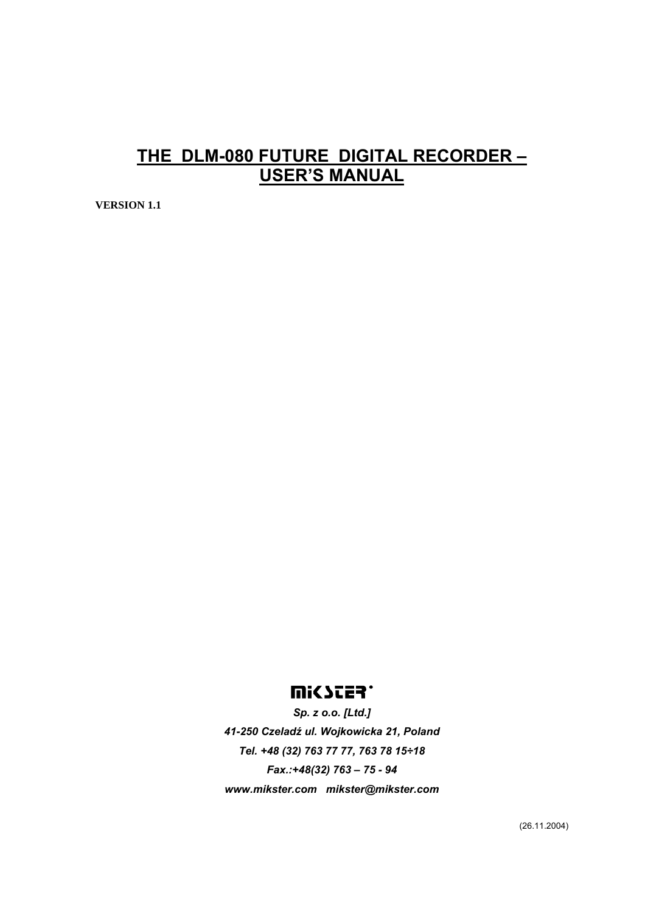# **THE DLM-080 FUTURE DIGITAL RECORDER – USER'S MANUAL**

**VERSION 1.1** 

# **UISSES.**

*Sp. z o.o. [Ltd.] 41-250 Czeladź ul. Wojkowicka 21, Poland Tel. +48 (32) 763 77 77, 763 78 15÷18 Fax.:+48(32) 763 – 75 - 94 www.mikster.com mikster@mikster.com* 

(26.11.2004)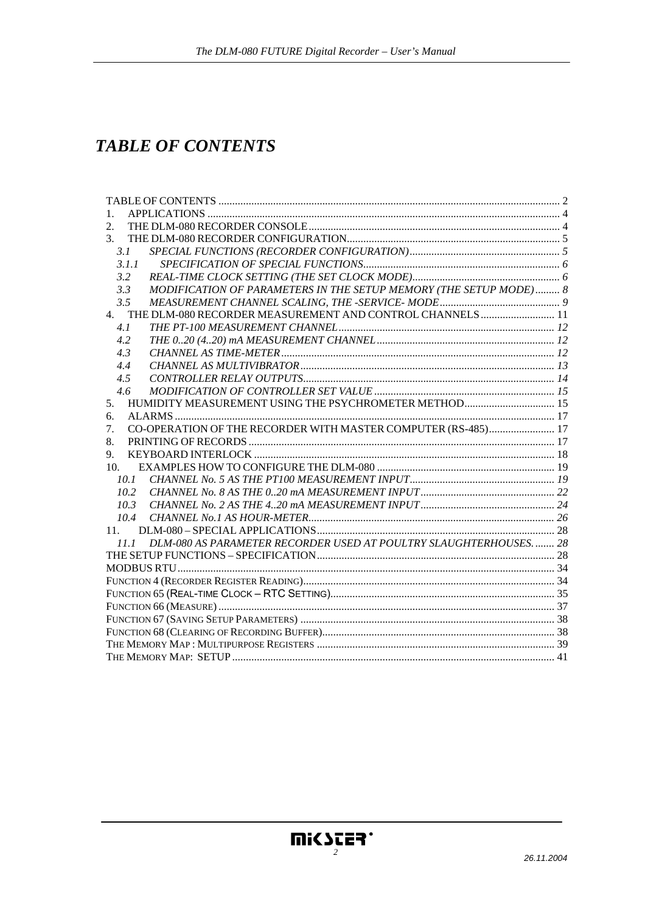# **TABLE OF CONTENTS**

| 1.                                                                       |  |  |  |  |  |
|--------------------------------------------------------------------------|--|--|--|--|--|
| 2.                                                                       |  |  |  |  |  |
| 3.                                                                       |  |  |  |  |  |
| 3.1                                                                      |  |  |  |  |  |
| 3.1.1                                                                    |  |  |  |  |  |
| 3.2                                                                      |  |  |  |  |  |
| MODIFICATION OF PARAMETERS IN THE SETUP MEMORY (THE SETUP MODE) 8<br>3.3 |  |  |  |  |  |
| 3.5                                                                      |  |  |  |  |  |
| 4. THE DLM-080 RECORDER MEASUREMENT AND CONTROL CHANNELS  11             |  |  |  |  |  |
| 4.1                                                                      |  |  |  |  |  |
| 4.2                                                                      |  |  |  |  |  |
| 4.3                                                                      |  |  |  |  |  |
| 4.4                                                                      |  |  |  |  |  |
| 4.5                                                                      |  |  |  |  |  |
| 4.6                                                                      |  |  |  |  |  |
| HUMIDITY MEASUREMENT USING THE PSYCHROMETER METHOD 15<br>5.              |  |  |  |  |  |
| 6.                                                                       |  |  |  |  |  |
| CO-OPERATION OF THE RECORDER WITH MASTER COMPUTER (RS-485) 17<br>7.      |  |  |  |  |  |
| 8.                                                                       |  |  |  |  |  |
| 9.                                                                       |  |  |  |  |  |
| 10.                                                                      |  |  |  |  |  |
| 10.1                                                                     |  |  |  |  |  |
| 10.2                                                                     |  |  |  |  |  |
| 10.3                                                                     |  |  |  |  |  |
| 10.4                                                                     |  |  |  |  |  |
| 11.                                                                      |  |  |  |  |  |
| 11.1 DLM-080 AS PARAMETER RECORDER USED AT POULTRY SLAUGHTERHOUSES 28    |  |  |  |  |  |
|                                                                          |  |  |  |  |  |
|                                                                          |  |  |  |  |  |
|                                                                          |  |  |  |  |  |
|                                                                          |  |  |  |  |  |
|                                                                          |  |  |  |  |  |
|                                                                          |  |  |  |  |  |
|                                                                          |  |  |  |  |  |
|                                                                          |  |  |  |  |  |
|                                                                          |  |  |  |  |  |

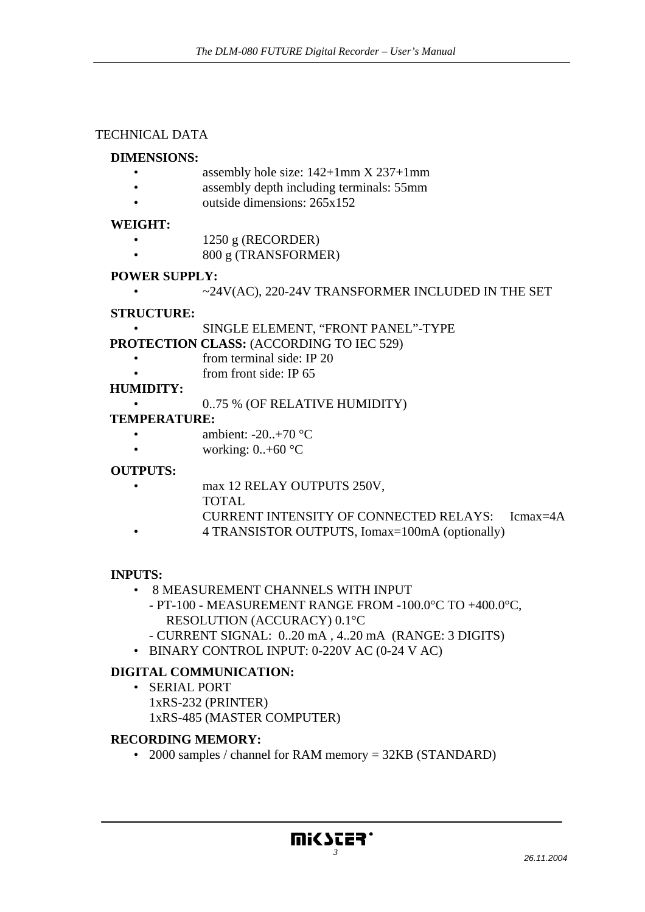#### TECHNICAL DATA

#### **DIMENSIONS:**

- assembly hole size:  $142+1$ mm X 237+1mm
- **assembly depth including terminals:** 55mm
- outside dimensions: 265x152

#### **WEIGHT:**

- 1250 g (RECORDER)
- 800 g (TRANSFORMER)

#### **POWER SUPPLY:**

• ~24V(AC), 220-24V TRANSFORMER INCLUDED IN THE SET

#### **STRUCTURE:**

• SINGLE ELEMENT, "FRONT PANEL"-TYPE

**PROTECTION CLASS:** (ACCORDING TO IEC 529)

- from terminal side: IP 20
- from front side: IP 65

#### **HUMIDITY:**

• 0..75 % (OF RELATIVE HUMIDITY)

#### **TEMPERATURE:**

- ambient:  $-20.+70$  °C
- working:  $0.+60$  °C

# **OUTPUTS:**

- max 12 RELAY OUTPUTS 250V,
	- TOTAL
	- CURRENT INTENSITY OF CONNECTED RELAYS: Icmax=4A
	- 4 TRANSISTOR OUTPUTS, Iomax=100mA (optionally)

#### **INPUTS:**

- 8 MEASUREMENT CHANNELS WITH INPUT
	- PT-100 MEASUREMENT RANGE FROM -100.0°C TO +400.0°C, RESOLUTION (ACCURACY) 0.1°C
	- CURRENT SIGNAL: 0..20 mA , 4..20 mA (RANGE: 3 DIGITS)
- BINARY CONTROL INPUT: 0-220V AC (0-24 V AC)

# **DIGITAL COMMUNICATION:**

• SERIAL PORT 1xRS-232 (PRINTER) 1xRS-485 (MASTER COMPUTER)

#### **RECORDING MEMORY:**

• 2000 samples / channel for RAM memory = 32KB (STANDARD)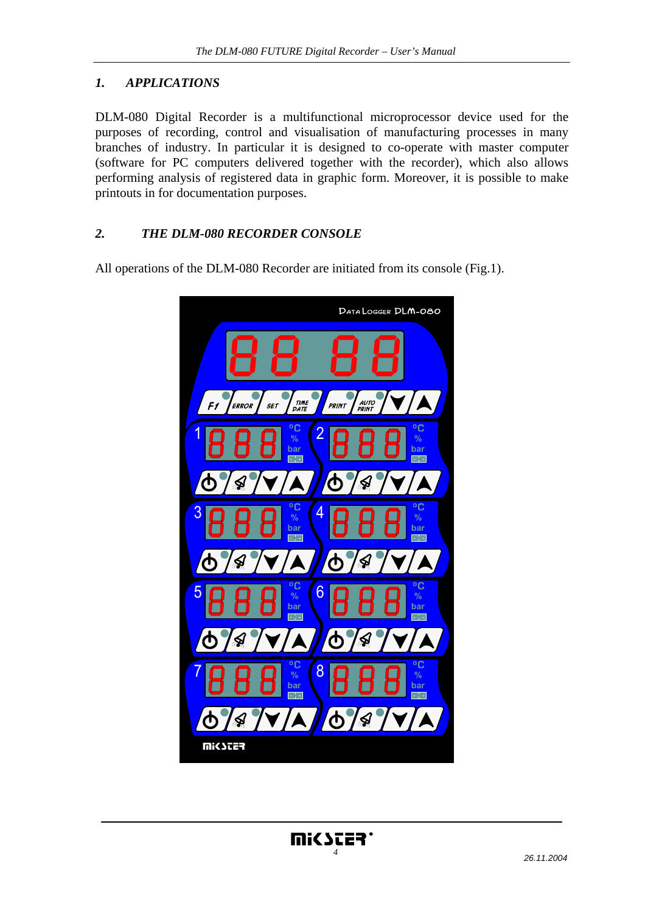## *1. APPLICATIONS*

DLM-080 Digital Recorder is a multifunctional microprocessor device used for the purposes of recording, control and visualisation of manufacturing processes in many branches of industry. In particular it is designed to co-operate with master computer (software for PC computers delivered together with the recorder), which also allows performing analysis of registered data in graphic form. Moreover, it is possible to make printouts in for documentation purposes.

#### *2. THE DLM-080 RECORDER CONSOLE*

All operations of the DLM-080 Recorder are initiated from its console (Fig.1).

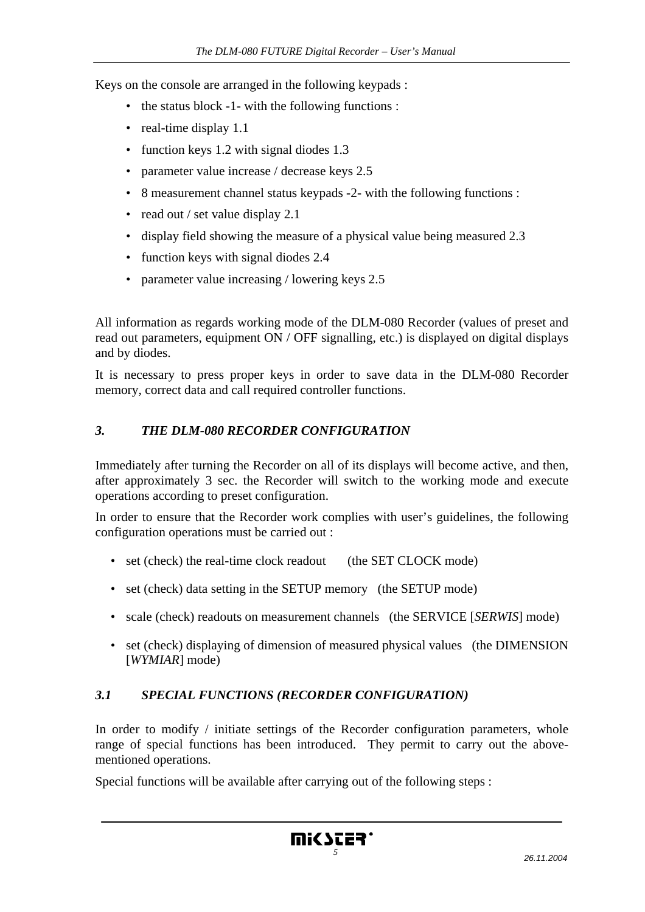Keys on the console are arranged in the following keypads :

- the status block -1- with the following functions :
- real-time display 1.1
- function keys 1.2 with signal diodes 1.3
- parameter value increase / decrease keys 2.5
- 8 measurement channel status keypads -2- with the following functions :
- read out / set value display 2.1
- display field showing the measure of a physical value being measured 2.3
- function keys with signal diodes 2.4
- parameter value increasing / lowering keys 2.5

All information as regards working mode of the DLM-080 Recorder (values of preset and read out parameters, equipment ON / OFF signalling, etc.) is displayed on digital displays and by diodes.

It is necessary to press proper keys in order to save data in the DLM-080 Recorder memory, correct data and call required controller functions.

## *3. THE DLM-080 RECORDER CONFIGURATION*

Immediately after turning the Recorder on all of its displays will become active, and then, after approximately 3 sec. the Recorder will switch to the working mode and execute operations according to preset configuration.

In order to ensure that the Recorder work complies with user's guidelines, the following configuration operations must be carried out :

- set (check) the real-time clock readout (the SET CLOCK mode)
- set (check) data setting in the SETUP memory (the SETUP mode)
- scale (check) readouts on measurement channels (the SERVICE [*SERWIS*] mode)
- set (check) displaying of dimension of measured physical values (the DIMENSION [*WYMIAR*] mode)

# *3.1 SPECIAL FUNCTIONS (RECORDER CONFIGURATION)*

In order to modify / initiate settings of the Recorder configuration parameters, whole range of special functions has been introduced. They permit to carry out the abovementioned operations.

Special functions will be available after carrying out of the following steps :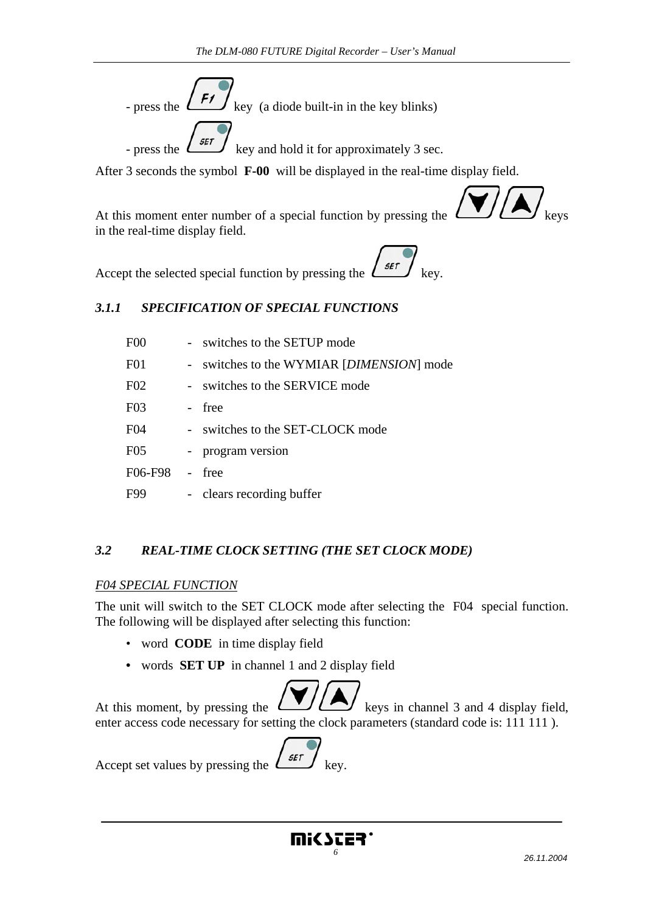

After 3 seconds the symbol **F-00** will be displayed in the real-time display field.



At this moment enter number of a special function by pressing the in the real-time display field.

Accept the selected special function by pressing the  $\frac{\sqrt{5\pi}}{2}$ 

## *3.1.1 SPECIFICATION OF SPECIAL FUNCTIONS*

| F <sub>0</sub>   | - switches to the SETUP mode              |
|------------------|-------------------------------------------|
| F <sub>0</sub> 1 | - switches to the WYMIAR [DIMENSION] mode |
| F <sub>02</sub>  | - switches to the SERVICE mode            |
| F03              | free                                      |
| F <sub>04</sub>  | - switches to the SET-CLOCK mode          |
| F <sub>05</sub>  | - program version                         |
| F06-F98          | - free                                    |
| F99              | - clears recording buffer                 |

# *3.2 REAL-TIME CLOCK SETTING (THE SET CLOCK MODE)*

#### *F04 SPECIAL FUNCTION*

The unit will switch to the SET CLOCK mode after selecting the F04 special function. The following will be displayed after selecting this function:

- word **CODE** in time display field
- words **SET UP** in channel 1 and 2 display field

At this moment, by pressing the  $\left(\begin{array}{c} \bullet \\ \bullet \end{array}\right)$  keys in channel 3 and 4 display field, enter access code necessary for setting the clock parameters (standard code is: 111 111 ).

Accept set values by pressing the  $\left\{ \frac{3\pi i}{\pi} \right\}$  key.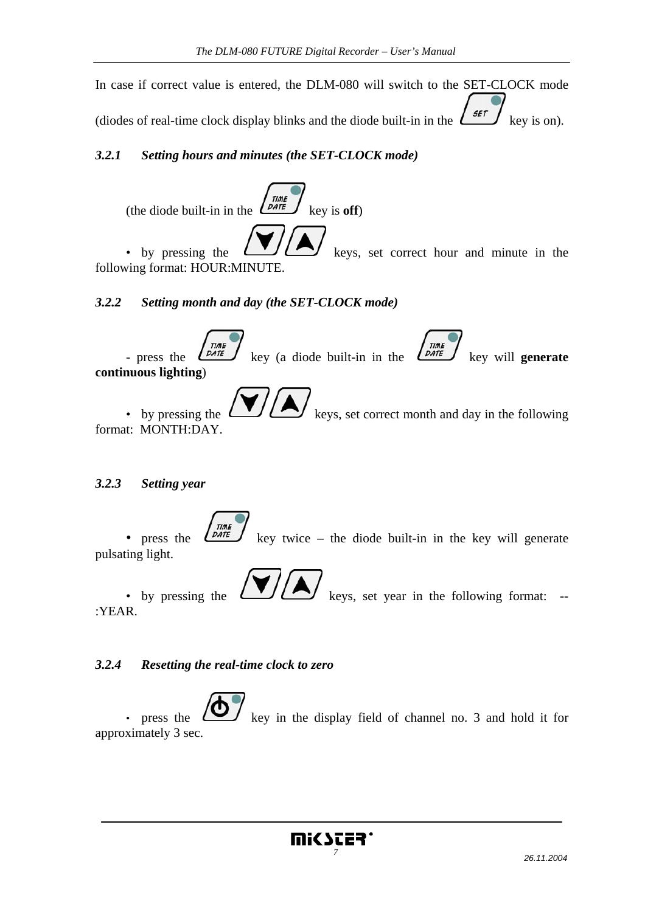In case if correct value is entered, the DLM-080 will switch to the SET-CLOCK mode (diodes of real-time clock display blinks and the diode built-in in the  $\left( \frac{1}{2} \right)$  key is on).

# *3.2.1 Setting hours and minutes (the SET-CLOCK mode)*



• by pressing the  $\left(\begin{array}{c} \bullet \end{array}\right)$  keys, set correct hour and minute in the following format: HOUR:MINUTE.

## *3.2.2 Setting month and day (the SET-CLOCK mode)*



• by pressing the  $\bigcup_{k \in \mathbb{N}} \bigotimes_{k \in \mathbb{N}} k$  keys, set correct month and day in the following format: MONTH:DAY.

*3.2.3 Setting year* 

• press the  $\left(\frac{Time}{DATE}\right)$  key twice – the diode built-in in the key will generate pulsating light.

• by pressing the  $\left(\begin{array}{c} \bullet \end{array}\right)$  keys, set year in the following format: --

:YEAR.

#### *3.2.4 Resetting the real-time clock to zero*

press the  $\sum$  key in the display field of channel no. 3 and hold it for approximately 3 sec.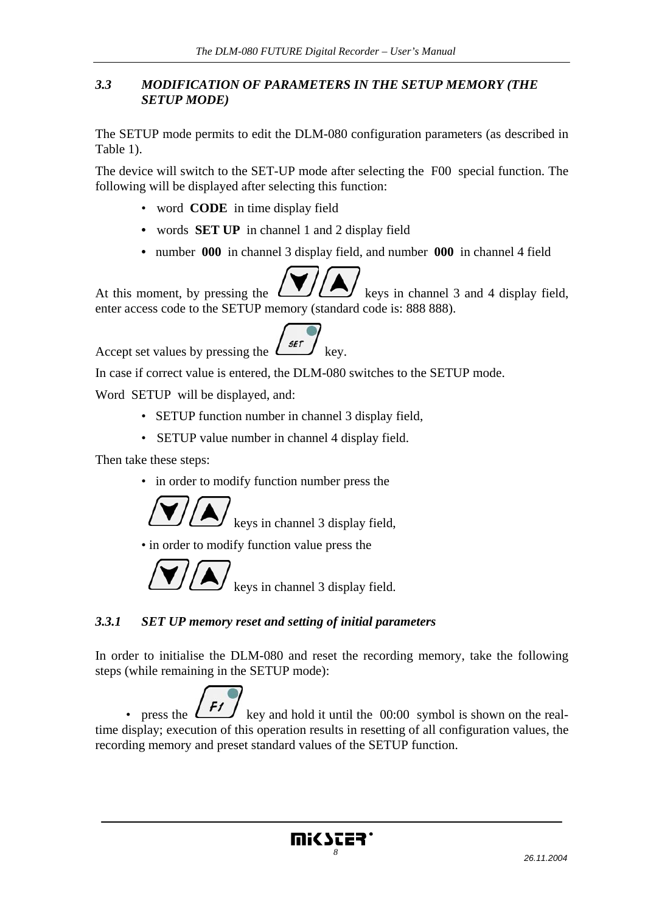#### *3.3 MODIFICATION OF PARAMETERS IN THE SETUP MEMORY (THE SETUP MODE)*

The SETUP mode permits to edit the DLM-080 configuration parameters (as described in Table 1).

The device will switch to the SET-UP mode after selecting the F00 special function. The following will be displayed after selecting this function:

- word **CODE** in time display field
- words **SET UP** in channel 1 and 2 display field
- number **000** in channel 3 display field, and number **000** in channel 4 field



At this moment, by pressing the  $\left(\begin{array}{c} \bullet \\ \bullet \end{array}\right)$  keys in channel 3 and 4 display field, enter access code to the SETUP memory (standard code is: 888 888).



In case if correct value is entered, the DLM-080 switches to the SETUP mode.

Word SETUP will be displayed, and:

- SETUP function number in channel 3 display field,
- SETUP value number in channel 4 display field.

Then take these steps:

• in order to modify function number press the



keys in channel 3 display field,

• in order to modify function value press the



# *3.3.1 SET UP memory reset and setting of initial parameters*

In order to initialise the DLM-080 and reset the recording memory, take the following steps (while remaining in the SETUP mode):

• press the  $k^{H}$  key and hold it until the 00:00 symbol is shown on the realtime display; execution of this operation results in resetting of all configuration values, the recording memory and preset standard values of the SETUP function.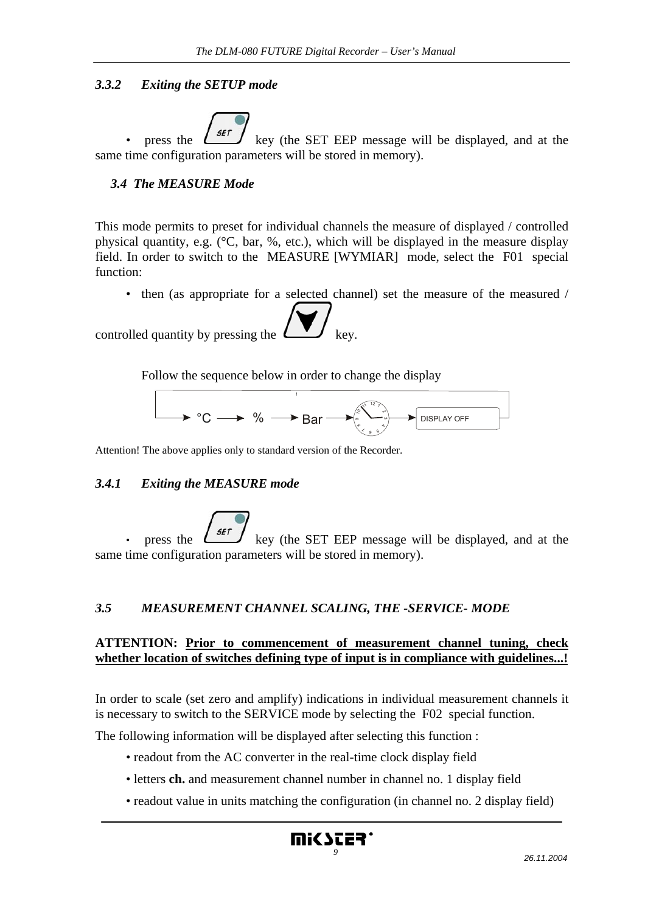#### *3.3.2 Exiting the SETUP mode*

press the  $\left\lfloor \frac{\mathsf{SET}}{\mathsf{E}} \right\rfloor$  key (the SET EEP message will be displayed, and at the same time configuration parameters will be stored in memory).

#### *3.4 The MEASURE Mode*

This mode permits to preset for individual channels the measure of displayed / controlled physical quantity, e.g. (°C, bar, %, etc.), which will be displayed in the measure display field. In order to switch to the MEASURE [WYMIAR] mode, select the F01 special function:

• then (as appropriate for a selected channel) set the measure of the measured /

controlled quantity by pressing the

Follow the sequence below in order to change the display



Attention! The above applies only to standard version of the Recorder.

#### *3.4.1 Exiting the MEASURE mode*

press the  $\left\lfloor \frac{3\pi i}{2\pi i} \right\rfloor$  key (the SET EEP message will be displayed, and at the same time configuration parameters will be stored in memory).

#### *3.5 MEASUREMENT CHANNEL SCALING, THE -SERVICE- MODE*

#### **ATTENTION: Prior to commencement of measurement channel tuning, check whether location of switches defining type of input is in compliance with guidelines...!**

In order to scale (set zero and amplify) indications in individual measurement channels it is necessary to switch to the SERVICE mode by selecting the F02 special function.

The following information will be displayed after selecting this function :

- readout from the AC converter in the real-time clock display field
- letters **ch.** and measurement channel number in channel no. 1 display field
- readout value in units matching the configuration (in channel no. 2 display field)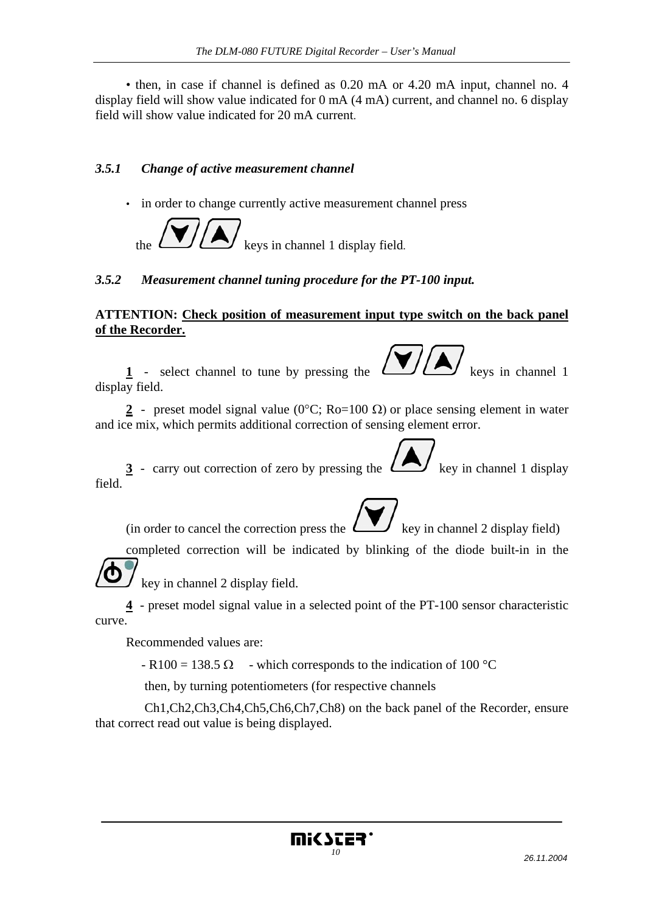• then, in case if channel is defined as 0.20 mA or 4.20 mA input, channel no. 4 display field will show value indicated for 0 mA (4 mA) current, and channel no. 6 display field will show value indicated for 20 mA current.

## *3.5.1 Change of active measurement channel*

• in order to change currently active measurement channel press



## *3.5.2 Measurement channel tuning procedure for the PT-100 input.*

#### **ATTENTION: Check position of measurement input type switch on the back panel of the Recorder.**

**1** - select channel to tune by pressing the  $\left\lfloor \frac{1}{2} \right\rfloor$  keys in channel 1 display field.

**2** - preset model signal value (0°C; Ro=100 Ω) or place sensing element in water and ice mix, which permits additional correction of sensing element error.

**3** - carry out correction of zero by pressing the  $\left(\frac{1}{1}\right)$  key in channel 1 display field.

(in order to cancel the correction press the  $\Box$ ) key in channel 2 display field)

completed correction will be indicated by blinking of the diode built-in in the

key in channel 2 display field.

**4** - preset model signal value in a selected point of the PT-100 sensor characteristic curve.

Recommended values are:

 $-R100 = 138.5 \Omega$  - which corresponds to the indication of 100 °C

then, by turning potentiometers (for respective channels

 Ch1,Ch2,Ch3,Ch4,Ch5,Ch6,Ch7,Ch8) on the back panel of the Recorder, ensure that correct read out value is being displayed.

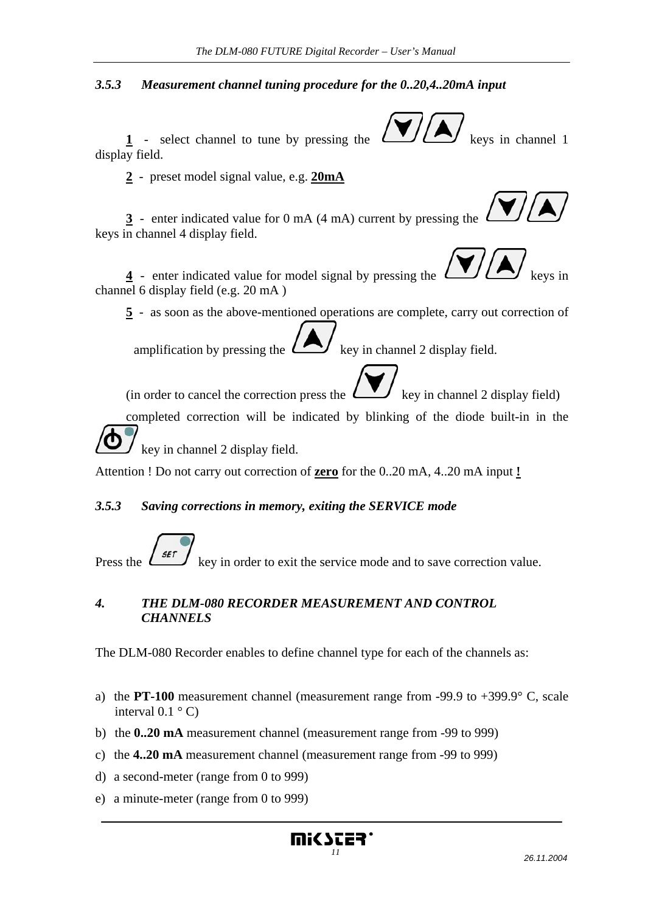#### *3.5.3 Measurement channel tuning procedure for the 0..20,4..20mA input*

1 - select channel to tune by pressing the  $\left\lfloor \bigcup_{k \in \mathbb{N}} \right\rfloor$  keys in channel 1 display field.

**2** - preset model signal value, e.g. **20mA**

**3** - enter indicated value for 0 mA (4 mA) current by pressing the keys in channel 4 display field.

**4** - enter indicated value for model signal by pressing the channel 6 display field (e.g. 20 mA )

**5** - as soon as the above-mentioned operations are complete, carry out correction of

amplification by pressing the  $k \geq k$  key in channel 2 display field.

(in order to cancel the correction press the  $\Box$ ) key in channel 2 display field)

completed correction will be indicated by blinking of the diode built-in in the

key in channel 2 display field.

Attention ! Do not carry out correction of **zero** for the 0..20 mA, 4..20 mA input **!**

#### *3.5.3 Saving corrections in memory, exiting the SERVICE mode*

Press the  $\left( \frac{\mathsf{SET}}{\mathsf{SET}} \right)$  key in order to exit the service mode and to save correction value.

## *4. THE DLM-080 RECORDER MEASUREMENT AND CONTROL CHANNELS*

The DLM-080 Recorder enables to define channel type for each of the channels as:

- a) the **PT-100** measurement channel (measurement range from -99.9 to +399.9° C, scale interval  $0.1 \degree C$
- b) the **0..20 mA** measurement channel (measurement range from -99 to 999)
- c) the **4..20 mA** measurement channel (measurement range from -99 to 999)
- d) a second-meter (range from 0 to 999)
- e) a minute-meter (range from 0 to 999)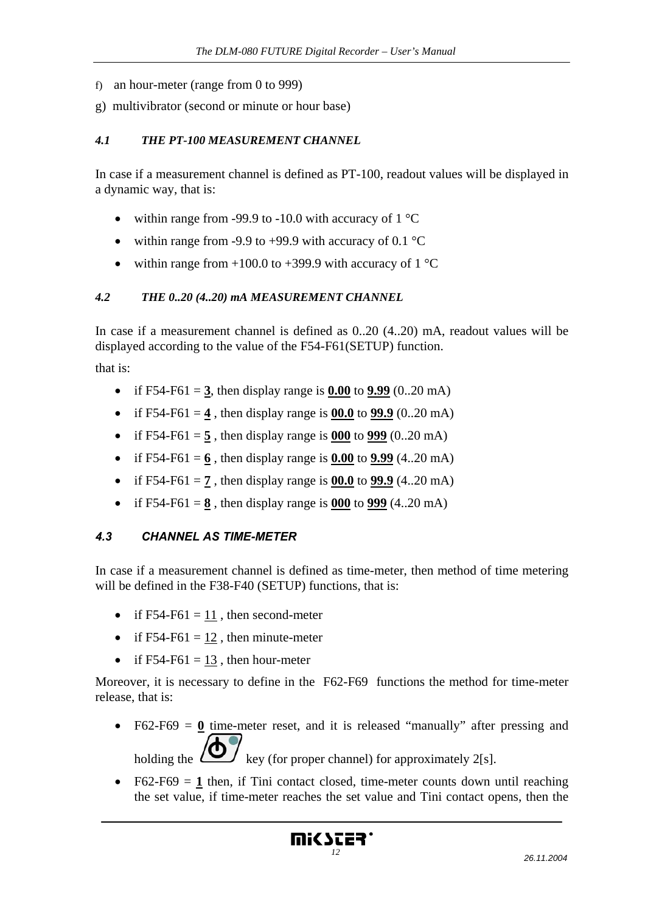- f) an hour-meter (range from 0 to 999)
- g) multivibrator (second or minute or hour base)

#### *4.1 THE PT-100 MEASUREMENT CHANNEL*

In case if a measurement channel is defined as PT-100, readout values will be displayed in a dynamic way, that is:

- within range from -99.9 to -10.0 with accuracy of  $1^{\circ}C$
- within range from -9.9 to +99.9 with accuracy of 0.1  $\degree$ C
- within range from  $+100.0$  to  $+399.9$  with accuracy of  $1^{\circ}$ C

#### *4.2 THE 0..20 (4..20) mA MEASUREMENT CHANNEL*

In case if a measurement channel is defined as 0..20 (4..20) mA, readout values will be displayed according to the value of the F54-F61(SETUP) function.

that is:

- if F54-F61 =  $3$ , then display range is  $0.00$  to  $9.99$  (0..20 mA)
- if F54-F61 = **4**, then display range is  $00.0$  to  $99.9$  (0..20 mA)
- if  $F54-F61 = 5$ , then display range is 000 to 999 (0..20 mA)
- if F54-F61 =  $6$ , then display range is  $0.00$  to  $9.99$  (4..20 mA)
- if F54-F61 =  $\frac{7}{2}$ , then display range is  $\frac{00.0}{29.9}$  (4..20 mA)
- if F54-F61 =  $\frac{8}{9}$ , then display range is  $\frac{000}{999}$  (4..20 mA)

#### *4.3 CHANNEL AS TIME-METER*

In case if a measurement channel is defined as time-meter, then method of time metering will be defined in the F38-F40 (SETUP) functions, that is:

- if F54-F61 =  $11$ , then second-meter
- if  $F54-F61 = 12$ , then minute-meter
- if  $F54-F61 = 13$ , then hour-meter

Moreover, it is necessary to define in the F62-F69 functions the method for time-meter release, that is:

• F62-F69  $= 0$  time-meter reset, and it is released "manually" after pressing and

holding the  $\sum$  key (for proper channel) for approximately 2[s].

• F62-F69  $=$  1 then, if Tini contact closed, time-meter counts down until reaching the set value, if time-meter reaches the set value and Tini contact opens, then the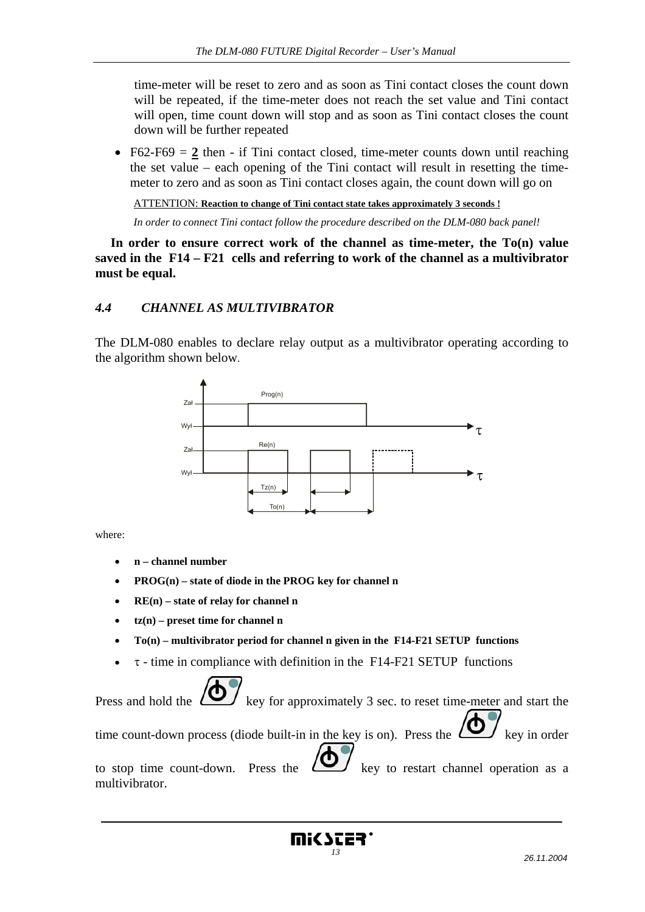time-meter will be reset to zero and as soon as Tini contact closes the count down will be repeated, if the time-meter does not reach the set value and Tini contact will open, time count down will stop and as soon as Tini contact closes the count down will be further repeated

• F62-F69  $= 2$  then - if Tini contact closed, time-meter counts down until reaching the set value – each opening of the Tini contact will result in resetting the timemeter to zero and as soon as Tini contact closes again, the count down will go on

ATTENTION: **Reaction to change of Tini contact state takes approximately 3 seconds !**

*In order to connect Tini contact follow the procedure described on the DLM-080 back panel!* 

**In order to ensure correct work of the channel as time-meter, the To(n) value saved in the F14 – F21 cells and referring to work of the channel as a multivibrator must be equal.** 

#### *4.4 CHANNEL AS MULTIVIBRATOR*

The DLM-080 enables to declare relay output as a multivibrator operating according to the algorithm shown below.



where:

- **n channel number**
- **PROG(n) state of diode in the PROG key for channel n**
- **RE(n) state of relay for channel n**
- **tz(n) preset time for channel n**
- **To(n) multivibrator period for channel n given in the F14-F21 SETUP functions**
- $\bullet$   $\tau$  time in compliance with definition in the F14-F21 SETUP functions

Press and hold the  $\sum$  key for approximately 3 sec. to reset time-meter and start the time count-down process (diode built-in in the key is on). Press the  $\sum_{k \in \mathbb{Z}} k$  key in order to stop time count-down. Press the  $\sum$  key to restart channel operation as a multivibrator.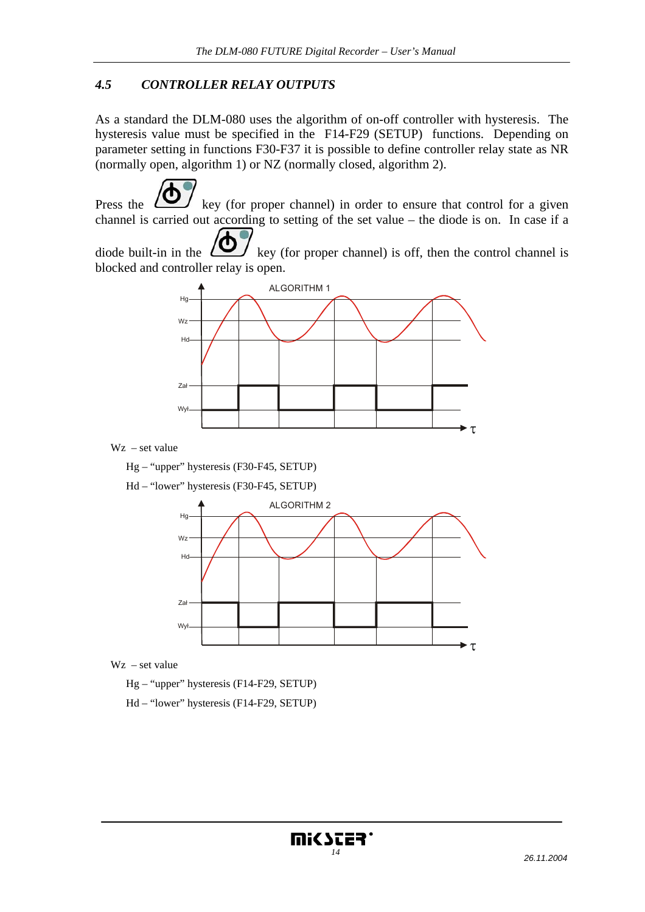#### *4.5 CONTROLLER RELAY OUTPUTS*

As a standard the DLM-080 uses the algorithm of on-off controller with hysteresis. The hysteresis value must be specified in the F14-F29 (SETUP) functions. Depending on parameter setting in functions F30-F37 it is possible to define controller relay state as NR (normally open, algorithm 1) or NZ (normally closed, algorithm 2).

Press the key (for proper channel) in order to ensure that control for a given channel is carried out according to setting of the set value – the diode is on. In case if a

diode built-in in the  $\sum$  key (for proper channel) is off, then the control channel is blocked and controller relay is open.



Wz – set value

Hg – "upper" hysteresis (F30-F45, SETUP)

Hd – "lower" hysteresis (F30-F45, SETUP)



Wz – set value

Hg – "upper" hysteresis (F14-F29, SETUP)

Hd – "lower" hysteresis (F14-F29, SETUP)

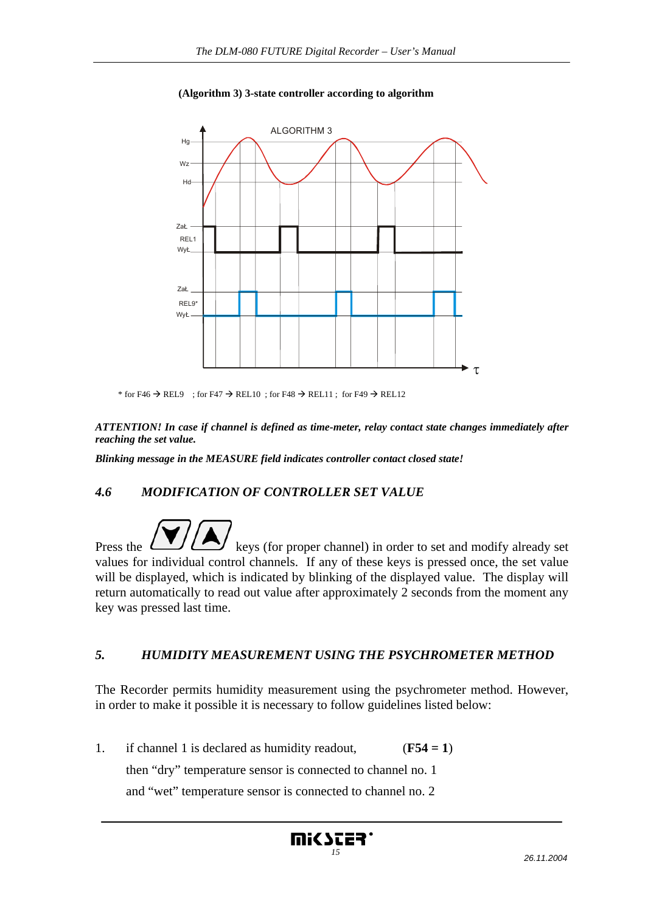

#### **(Algorithm 3) 3-state controller according to algorithm**

\* for F46  $\rightarrow$  REL9 ; for F47  $\rightarrow$  REL10 ; for F48  $\rightarrow$  REL11 ; for F49  $\rightarrow$  REL12

*ATTENTION! In case if channel is defined as time-meter, relay contact state changes immediately after reaching the set value.* 

*Blinking message in the MEASURE field indicates controller contact closed state!* 

# *4.6 MODIFICATION OF CONTROLLER SET VALUE*

Press the  $\Box$  keys (for proper channel) in order to set and modify already set values for individual control channels. If any of these keys is pressed once, the set value will be displayed, which is indicated by blinking of the displayed value. The display will return automatically to read out value after approximately 2 seconds from the moment any key was pressed last time.

#### *5. HUMIDITY MEASUREMENT USING THE PSYCHROMETER METHOD*

The Recorder permits humidity measurement using the psychrometer method. However, in order to make it possible it is necessary to follow guidelines listed below:

1. if channel 1 is declared as humidity readout, (**F54 = 1**) then "dry" temperature sensor is connected to channel no. 1 and "wet" temperature sensor is connected to channel no. 2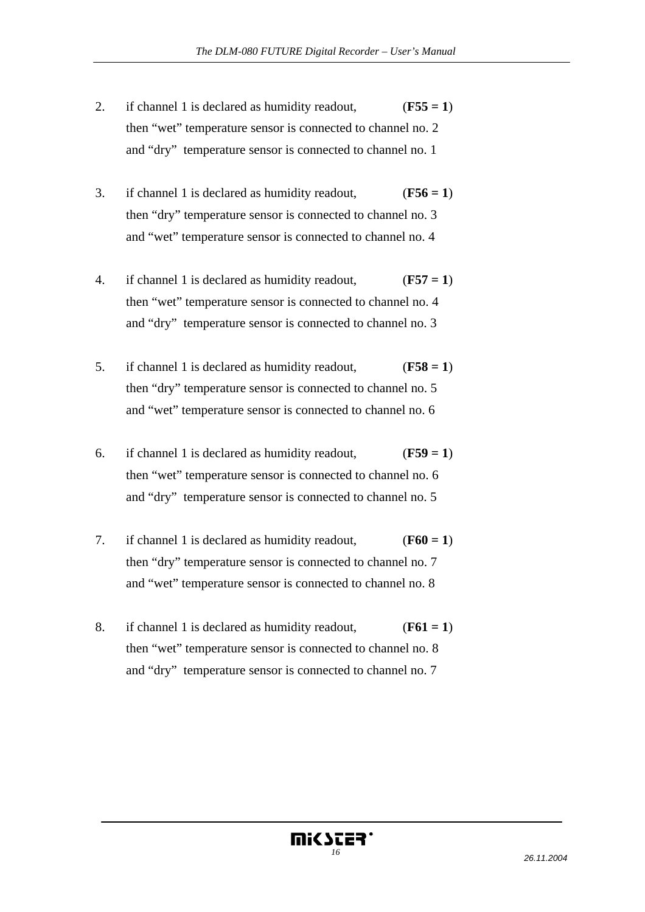- 2. if channel 1 is declared as humidity readout,  $(F55 = 1)$  then "wet" temperature sensor is connected to channel no. 2 and "dry" temperature sensor is connected to channel no. 1
- 3. if channel 1 is declared as humidity readout, (**F56 = 1**) then "dry" temperature sensor is connected to channel no. 3 and "wet" temperature sensor is connected to channel no. 4
- 4. if channel 1 is declared as humidity readout, (**F57 = 1**) then "wet" temperature sensor is connected to channel no. 4 and "dry" temperature sensor is connected to channel no. 3
- 5. if channel 1 is declared as humidity readout, (**F58 = 1**) then "dry" temperature sensor is connected to channel no. 5 and "wet" temperature sensor is connected to channel no. 6
- 6. if channel 1 is declared as humidity readout, (**F59 = 1**) then "wet" temperature sensor is connected to channel no. 6 and "dry" temperature sensor is connected to channel no. 5
- 7. if channel 1 is declared as humidity readout, (**F60 = 1**) then "dry" temperature sensor is connected to channel no. 7 and "wet" temperature sensor is connected to channel no. 8
- 8. if channel 1 is declared as humidity readout, (**F61 = 1**) then "wet" temperature sensor is connected to channel no. 8 and "dry" temperature sensor is connected to channel no. 7

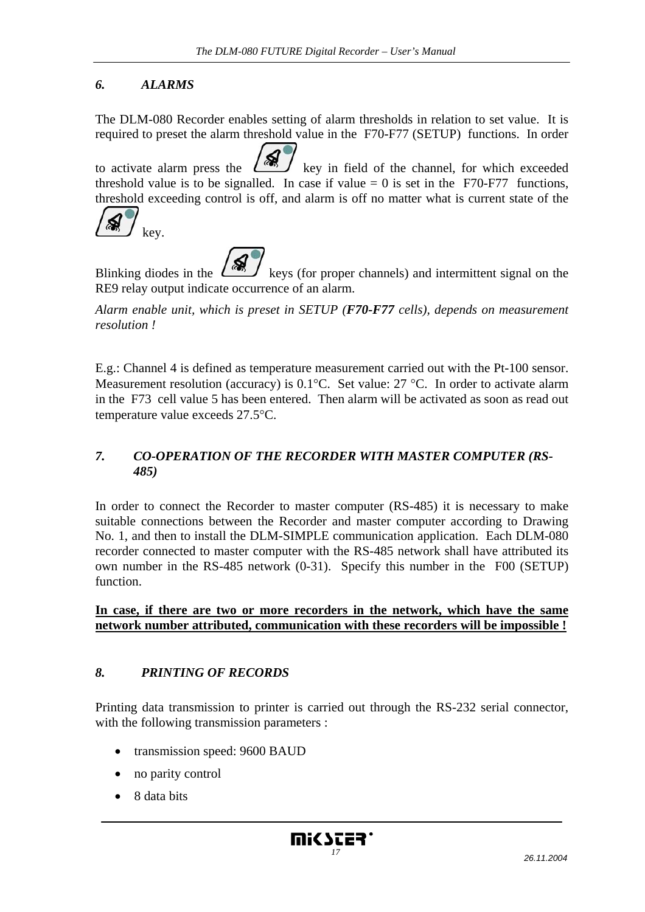# *6. ALARMS*

The DLM-080 Recorder enables setting of alarm thresholds in relation to set value. It is required to preset the alarm threshold value in the F70-F77 (SETUP) functions. In order

to activate alarm press the  $\frac{\sqrt{m}}{2}$  key in field of the channel, for which exceeded threshold value is to be signalled. In case if value  $= 0$  is set in the F70-F77 functions, threshold exceeding control is off, and alarm is off no matter what is current state of the



Blinking diodes in the  $\frac{\sqrt{m}}{2}$  keys (for proper channels) and intermittent signal on the RE9 relay output indicate occurrence of an alarm.

*Alarm enable unit, which is preset in SETUP (F70-F77 cells), depends on measurement resolution !* 

E.g.: Channel 4 is defined as temperature measurement carried out with the Pt-100 sensor. Measurement resolution (accuracy) is 0.1°C. Set value: 27 °C. In order to activate alarm in the F73 cell value 5 has been entered. Then alarm will be activated as soon as read out temperature value exceeds 27.5°C.

## *7. CO-OPERATION OF THE RECORDER WITH MASTER COMPUTER (RS-485)*

In order to connect the Recorder to master computer (RS-485) it is necessary to make suitable connections between the Recorder and master computer according to Drawing No. 1, and then to install the DLM-SIMPLE communication application. Each DLM-080 recorder connected to master computer with the RS-485 network shall have attributed its own number in the RS-485 network (0-31). Specify this number in the F00 (SETUP) function.

**In case, if there are two or more recorders in the network, which have the same network number attributed, communication with these recorders will be impossible !**

#### *8. PRINTING OF RECORDS*

Printing data transmission to printer is carried out through the RS-232 serial connector, with the following transmission parameters :

- transmission speed: 9600 BAUD
- no parity control
- 8 data bits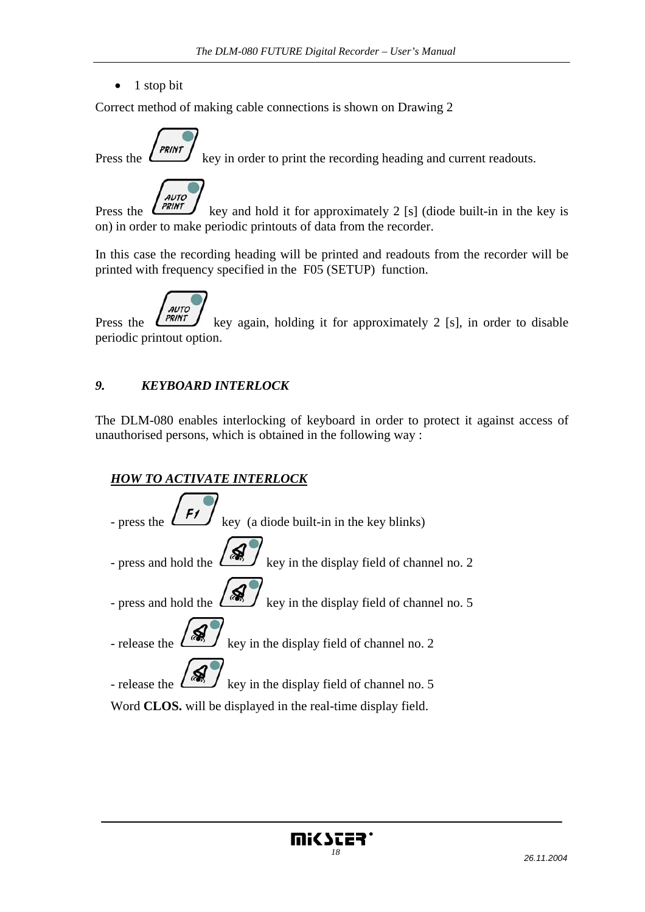$\bullet$  1 stop bit

Correct method of making cable connections is shown on Drawing 2



Press the  $k_{\text{FINT}}$  key in order to print the recording heading and current readouts.

AUTO Press the  $\left(\begin{array}{cc} \overrightarrow{PRINT} \\ \overrightarrow{RPNT} \end{array}\right)$  key and hold it for approximately 2 [s] (diode built-in in the key is on) in order to make periodic printouts of data from the recorder.

In this case the recording heading will be printed and readouts from the recorder will be printed with frequency specified in the F05 (SETUP) function.



Press the  $\frac{\sqrt{PRINT}}{\sqrt{RINT}}$  key again, holding it for approximately 2 [s], in order to disable periodic printout option.

## *9. KEYBOARD INTERLOCK*

The DLM-080 enables interlocking of keyboard in order to protect it against access of unauthorised persons, which is obtained in the following way :



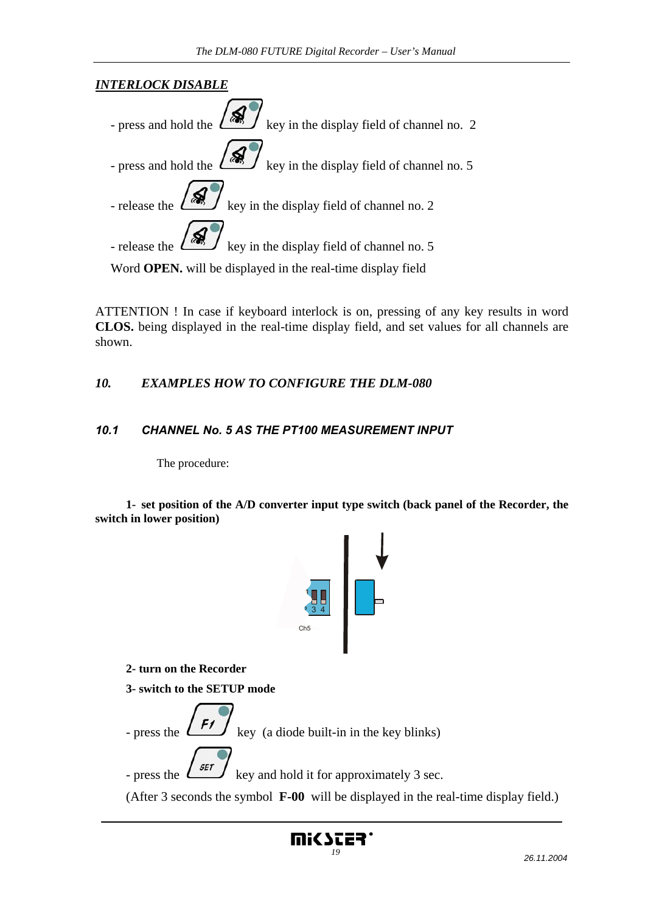# *INTERLOCK DISABLE*

| - press and hold the $\left(\frac{1}{\sqrt{2}}\right)^{k}$ key in the display field of channel no. 2 |
|------------------------------------------------------------------------------------------------------|
| - press and hold the $\left(\frac{1}{2}\right)^{n}$ key in the display field of channel no. 5        |
| - release the $\left(\frac{1}{\sqrt{2}}\right)^{1/2}$ key in the display field of channel no. 2      |
| - release the $\left(\frac{8}{100}\right)^{1}$ key in the display field of channel no. 5             |
|                                                                                                      |

Word **OPEN.** will be displayed in the real-time display field

ATTENTION ! In case if keyboard interlock is on, pressing of any key results in word **CLOS.** being displayed in the real-time display field, and set values for all channels are shown.

#### *10. EXAMPLES HOW TO CONFIGURE THE DLM-080*

#### *10.1 CHANNEL No. 5 AS THE PT100 MEASUREMENT INPUT*

The procedure:

**1- set position of the A/D converter input type switch (back panel of the Recorder, the switch in lower position)** 



 **2- turn on the Recorder** 

 **3- switch to the SETUP mode** 



mi(Scer'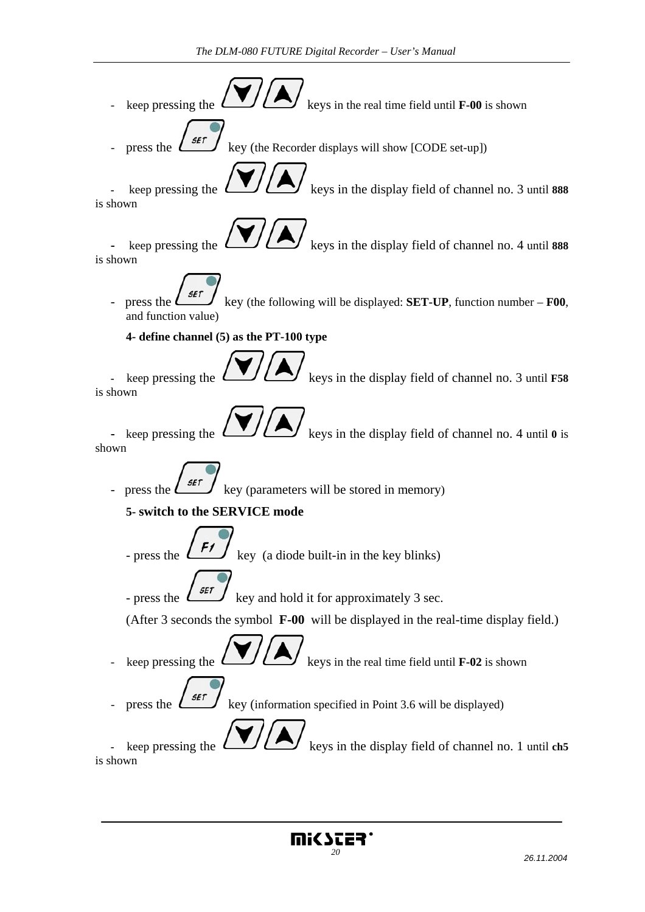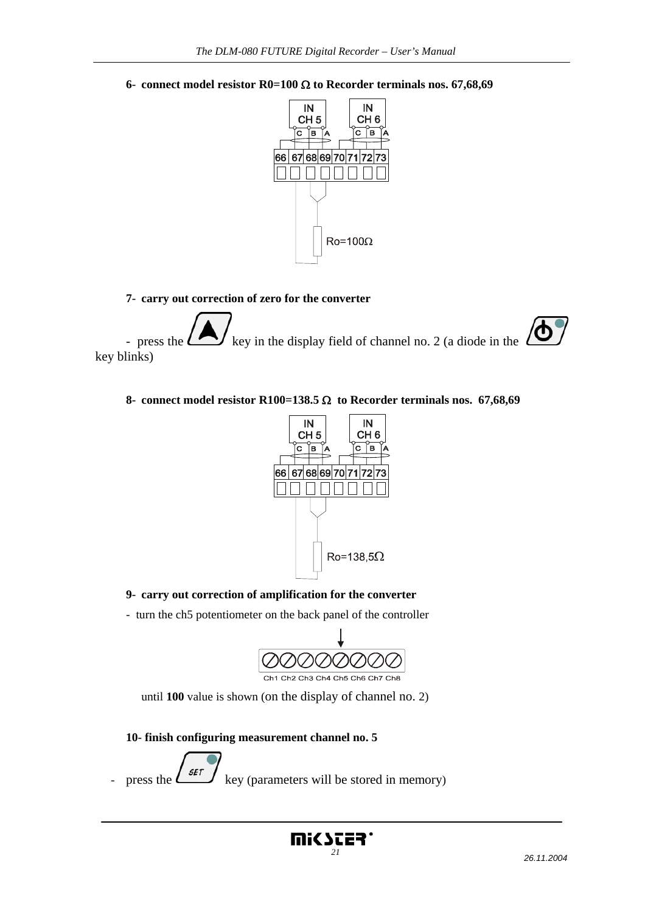**6- connect model resistor R0=100** Ω **to Recorder terminals nos. 67,68,69** 



#### **7- carry out correction of zero for the converter**

ტ - press the  $\sum$  key in the display field of channel no. 2 (a diode in the key blinks)

#### **8- connect model resistor R100=138.5** Ω **to Recorder terminals nos. 67,68,69**



#### **9- carry out correction of amplification for the converter**

- turn the ch5 potentiometer on the back panel of the controller



until **100** value is shown (on the display of channel no. 2)

 **10- finish configuring measurement channel no. 5** 

press the  $\left( \frac{\mathsf{SET}}{\mathsf{key}} \right)$  key (parameters will be stored in memory)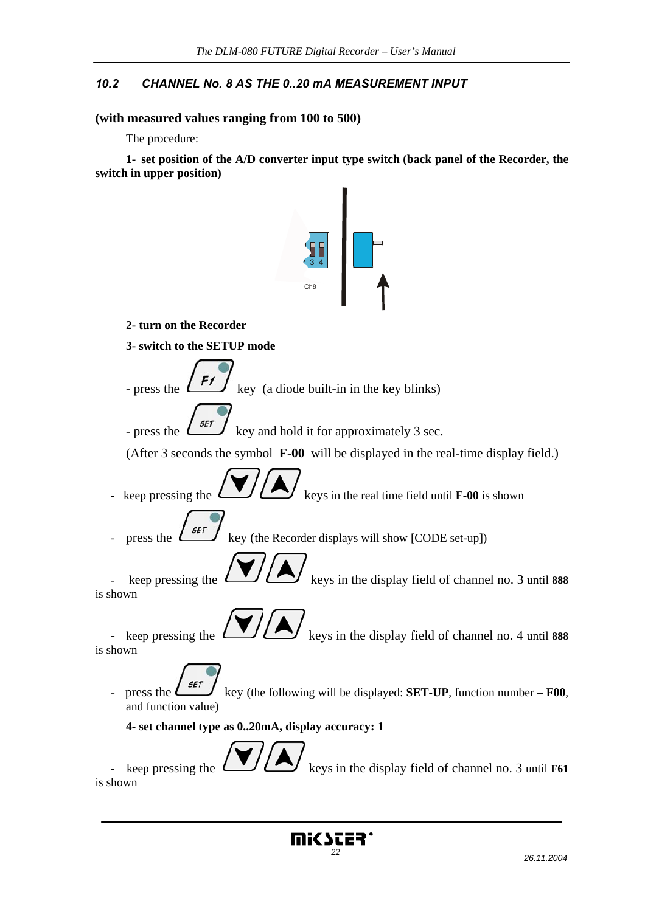#### *10.2 CHANNEL No. 8 AS THE 0..20 mA MEASUREMENT INPUT*

#### **(with measured values ranging from 100 to 500)**

The procedure:

**1- set position of the A/D converter input type switch (back panel of the Recorder, the switch in upper position)** 

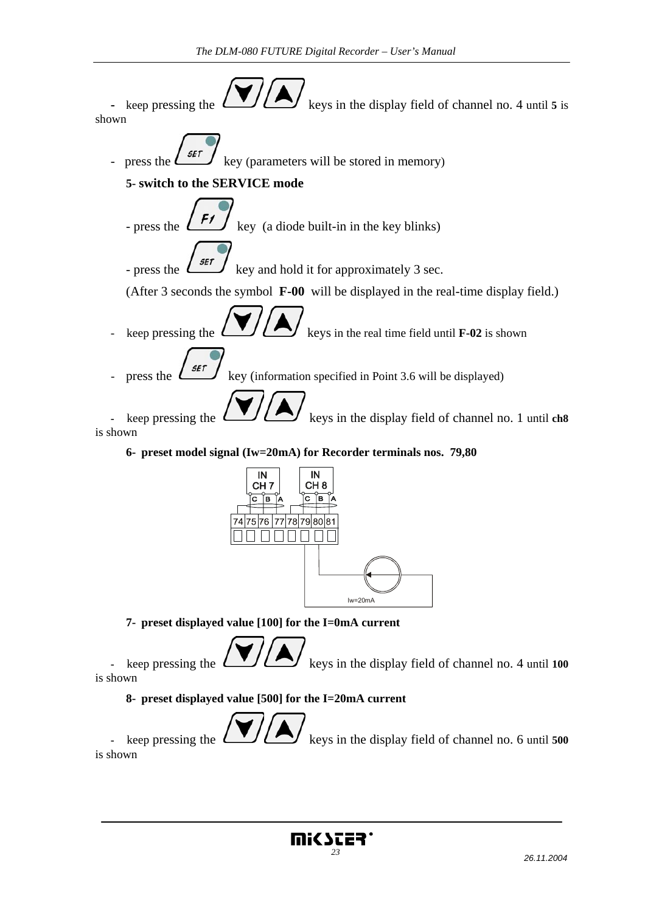



 **7- preset displayed value [100] for the I=0mA current** 

keep pressing the  $\left(\begin{array}{c} \bullet \\ \bullet \end{array}\right)$  keys in the display field of channel no. 4 until 100 is shown

 **8- preset displayed value [500] for the I=20mA current** 



keep pressing the  $\left(\begin{array}{c} \bullet \end{array}\right)$  keys in the display field of channel no. 6 until **500** is shown

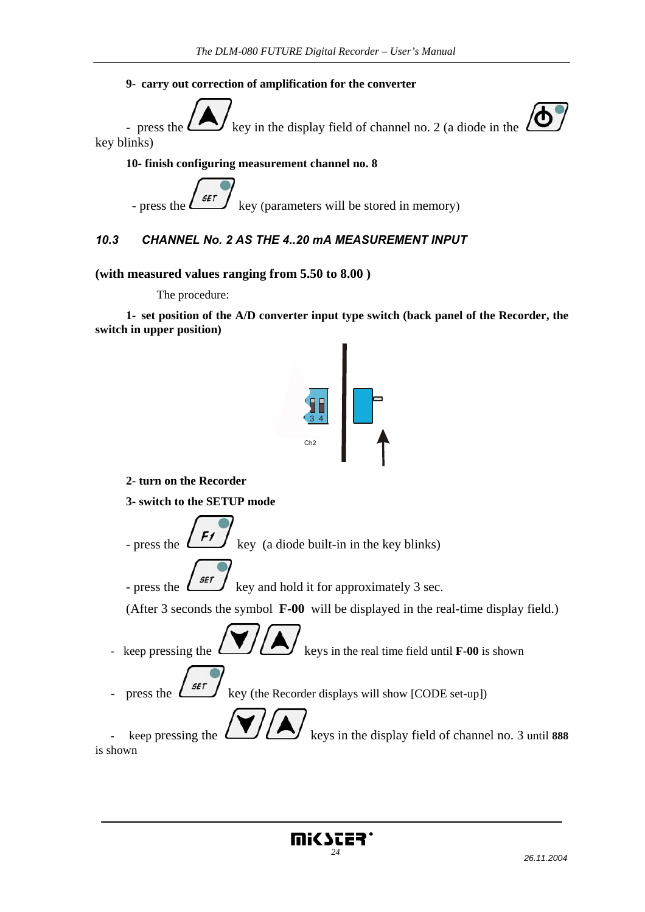#### **9- carry out correction of amplification for the converter**

- press the  $\sum$  key in the display field of channel no. 2 (a diode in the key blinks)

 **10- finish configuring measurement channel no. 8** 

- press the  $\left\lfloor \frac{\mathsf{SET}}{\mathsf{key}} \right\rfloor$  key (parameters will be stored in memory)

#### *10.3 CHANNEL No. 2 AS THE 4..20 mA MEASUREMENT INPUT*

#### **(with measured values ranging from 5.50 to 8.00 )**

The procedure:

**1- set position of the A/D converter input type switch (back panel of the Recorder, the switch in upper position)** 



 **2- turn on the Recorder** 

 **3- switch to the SETUP mode** 

- press the  $\left\lfloor \frac{F'}{F} \right\rfloor$  key (a diode built-in in the key blinks)

- press the  $\left( \frac{\mathsf{SET}}{\mathsf{SET}} \right)$  key and hold it for approximately 3 sec.

(After 3 seconds the symbol **F-00** will be displayed in the real-time display field.)

keep pressing the  $\left(\begin{array}{c} \bullet \\ \bullet \end{array}\right)$  keys in the real time field until **F-00** is shown

press the  $\left( \frac{\mathsf{SET}}{\mathsf{SET}} \right)$  key (the Recorder displays will show [CODE set-up])

keep pressing the  $\left(\begin{array}{c} \bullet \\ \bullet \end{array}\right)$  keys in the display field of channel no. 3 until 888 is shown

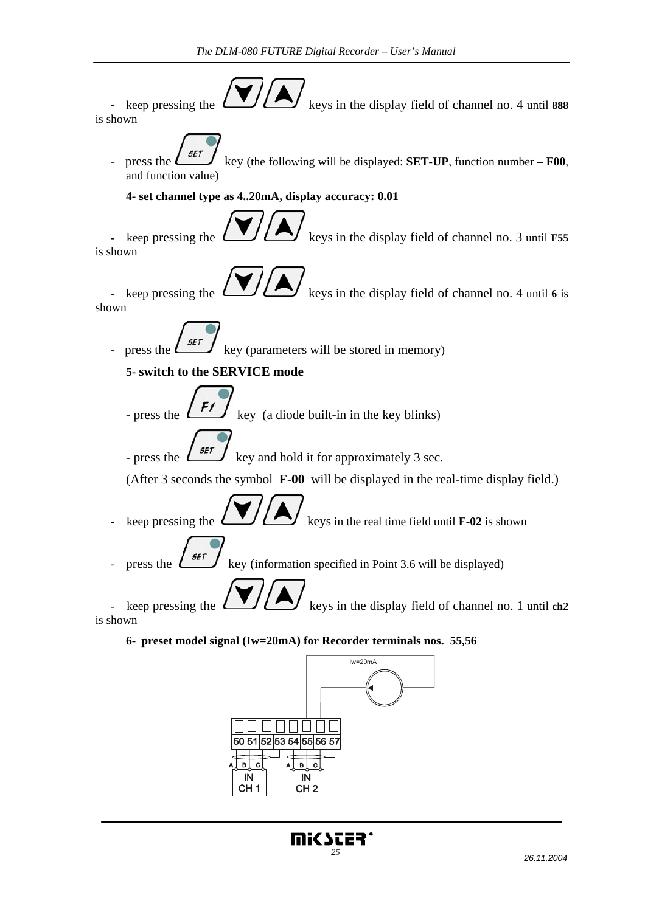

CH<sub>1</sub>

CH<sub>2</sub>

**Mi<STER**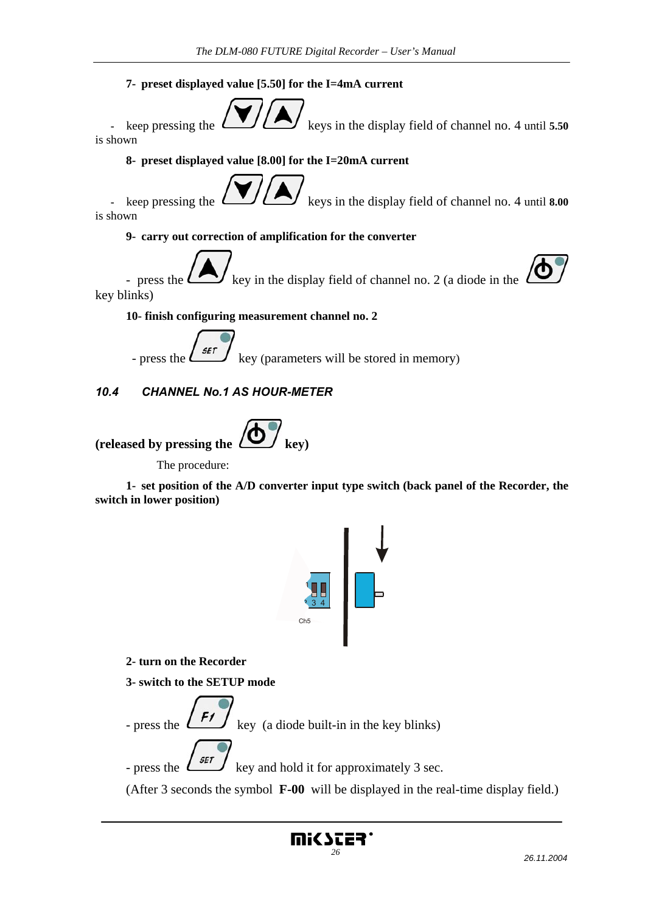#### **7- preset displayed value [5.50] for the I=4mA current**



keep pressing the  $\left(\begin{array}{c} \bullet \end{array}\right)$  keys in the display field of channel no. 4 until **5.50** is shown

#### **8- preset displayed value [8.00] for the I=20mA current**

keep pressing the  $\left(\frac{1}{\sqrt{1-\frac{1}{\sqrt{1-\frac{1}{\sqrt{1-\frac{1}{\sqrt{1-\frac{1}{\sqrt{1-\frac{1}{\sqrt{1-\frac{1}{\sqrt{1-\frac{1}{\sqrt{1-\frac{1}{\sqrt{1-\frac{1}{\sqrt{1-\frac{1}{\sqrt{1-\frac{1}{\sqrt{1-\frac{1}{\sqrt{1-\frac{1}{\sqrt{1-\frac{1}{\sqrt{1-\frac{1}{\sqrt{1-\frac{1}{\sqrt{1-\frac{1}{\sqrt{1-\frac{1}{\sqrt{1-\frac{1}{\sqrt{1-\frac{1}{\sqrt{1-\frac{1}{\sqrt{1-\frac$ is shown

#### **9- carry out correction of amplification for the converter**

- press the  $\sum$  key in the display field of channel no. 2 (a diode in the key blinks)

 **10- finish configuring measurement channel no. 2** 

- press the  $\left\lfloor \frac{\mathsf{SET}}{\mathsf{SET}} \right\rfloor$  key (parameters will be stored in memory)

#### *10.4 CHANNEL No.1 AS HOUR-METER*



The procedure:

**1- set position of the A/D converter input type switch (back panel of the Recorder, the switch in lower position)** 



 **2- turn on the Recorder** 

 **3- switch to the SETUP mode** 



(After 3 seconds the symbol **F-00** will be displayed in the real-time display field.)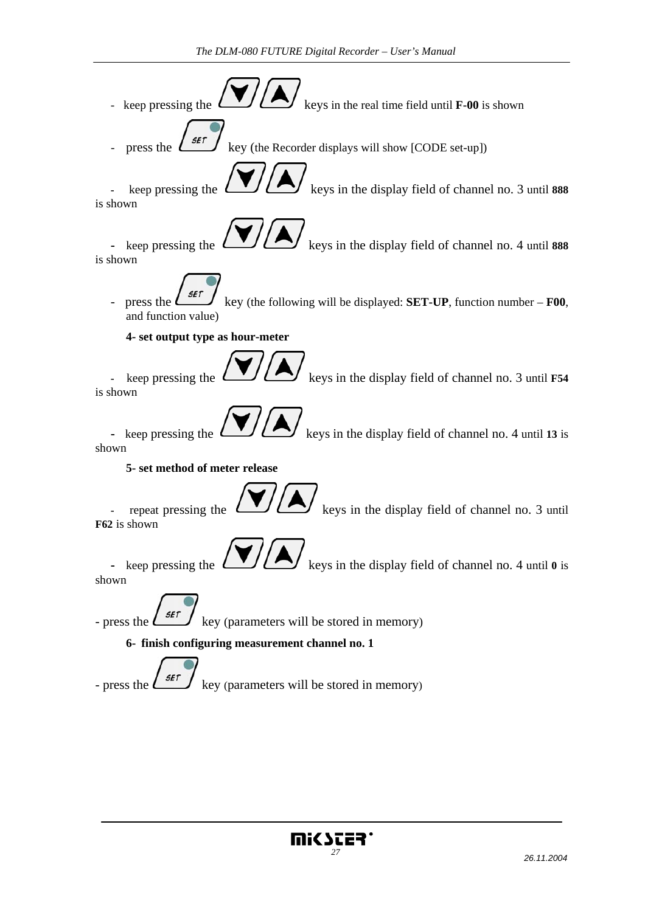

press the  $\left( \frac{\mathsf{SET}}{\mathsf{key}} \right)$  key (the Recorder displays will show [CODE set-up])

keep pressing the  $\left(\begin{array}{c} \bullet \end{array}\right)$  keys in the display field of channel no. 3 until 888 is shown

- keep pressing the  $\left(\begin{array}{c} \bullet \end{array}\right)$  keys in the display field of channel no. 4 until 888

is shown

press the  $\left[\begin{array}{cc} \mathcal{I} & \mathcal{I} \\ \mathcal{I} & \mathcal{I} \end{array}\right]$  key (the following will be displayed: **SET-UP**, function number – **F00**, and function value)

 **4- set output type as hour-meter** 

keep pressing the  $\left(\begin{array}{c} \bullet \end{array}\right)$  keys in the display field of channel no. 3 until **F54** is shown

- keep pressing the  $\left(\frac{1}{\sqrt{1-\epsilon}}\right)$  keys in the display field of channel no. 4 until 13 is shown

 **5- set method of meter release** 

repeat pressing the  $\left(\begin{array}{c} \bullet \\ \bullet \end{array}\right)$  keys in the display field of channel no. 3 until **F62** is shown

- keep pressing the  $\left(\begin{array}{c} \bullet \end{array}\right)$  keys in the display field of channel no. 4 until 0 is shown

- press the  $\left\lfloor \frac{\mathsf{SET}}{\mathsf{key}} \right\rfloor$  key (parameters will be stored in memory)

 **6- finish configuring measurement channel no. 1** 

- press the  $\left\lfloor \frac{\mathsf{SET}}{\mathsf{key}} \right\rfloor$  key (parameters will be stored in memory)

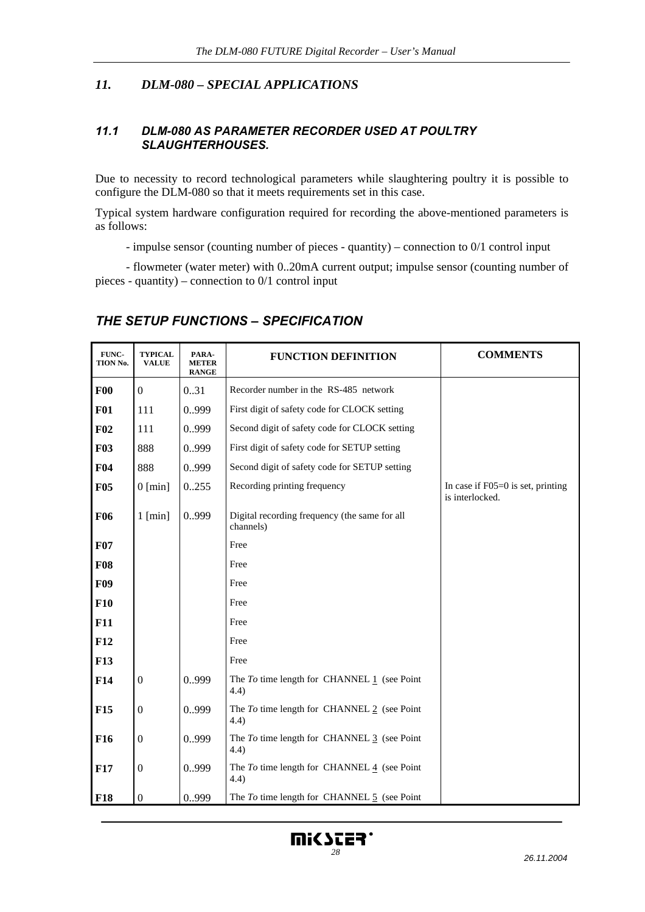#### *11. DLM-080 – SPECIAL APPLICATIONS*

#### *11.1 DLM-080 AS PARAMETER RECORDER USED AT POULTRY SLAUGHTERHOUSES.*

Due to necessity to record technological parameters while slaughtering poultry it is possible to configure the DLM-080 so that it meets requirements set in this case.

Typical system hardware configuration required for recording the above-mentioned parameters is as follows:

- impulse sensor (counting number of pieces - quantity) – connection to 0/1 control input

 - flowmeter (water meter) with 0..20mA current output; impulse sensor (counting number of pieces - quantity) – connection to 0/1 control input

#### *THE SETUP FUNCTIONS – SPECIFICATION*

| FUNC-<br><b>TION No.</b> | <b>TYPICAL</b><br><b>VALUE</b> | PARA-<br><b>METER</b><br><b>RANGE</b> | <b>FUNCTION DEFINITION</b>                                         | <b>COMMENTS</b>                                        |
|--------------------------|--------------------------------|---------------------------------------|--------------------------------------------------------------------|--------------------------------------------------------|
| F00                      | $\mathbf{0}$                   | 0.31                                  | Recorder number in the RS-485 network                              |                                                        |
| <b>F01</b>               | 111                            | 0999                                  | First digit of safety code for CLOCK setting                       |                                                        |
| F02                      | 111                            | 0.999                                 | Second digit of safety code for CLOCK setting                      |                                                        |
| <b>F03</b>               | 888                            | 0.999                                 | First digit of safety code for SETUP setting                       |                                                        |
| F <sub>04</sub>          | 888                            | 0.999                                 | Second digit of safety code for SETUP setting                      |                                                        |
| <b>F05</b>               | $0$ [min]                      | 0255                                  | Recording printing frequency                                       | In case if $F05=0$ is set, printing<br>is interlocked. |
| <b>F06</b>               | $1 \text{ [min]}$              | 0999                                  | Digital recording frequency (the same for all<br>channels)         |                                                        |
| <b>F07</b>               |                                |                                       | Free                                                               |                                                        |
| <b>F08</b>               |                                |                                       | Free                                                               |                                                        |
| <b>F09</b>               |                                |                                       | Free                                                               |                                                        |
| F10                      |                                |                                       | Free                                                               |                                                        |
| <b>F11</b>               |                                |                                       | Free                                                               |                                                        |
| <b>F12</b>               |                                |                                       | Free                                                               |                                                        |
| <b>F13</b>               |                                |                                       | Free                                                               |                                                        |
| F14                      | $\overline{0}$                 | 0999                                  | The $To$ time length for CHANNEL $1$ (see Point<br>(4.4)           |                                                        |
| F <sub>15</sub>          | $\boldsymbol{0}$               | 0.999                                 | The $To$ time length for CHANNEL $2$ (see Point<br>4.4)            |                                                        |
| F <sub>16</sub>          | $\boldsymbol{0}$               | 0.999                                 | The $To$ time length for CHANNEL $\frac{3}{5}$ (see Point<br>(4.4) |                                                        |
| <b>F17</b>               | $\overline{0}$                 | 0999                                  | The To time length for CHANNEL 4 (see Point<br>4.4)                |                                                        |
| <b>F18</b>               | $\mathbf{0}$                   | 0999                                  | The $To$ time length for CHANNEL $5$ (see Point                    |                                                        |

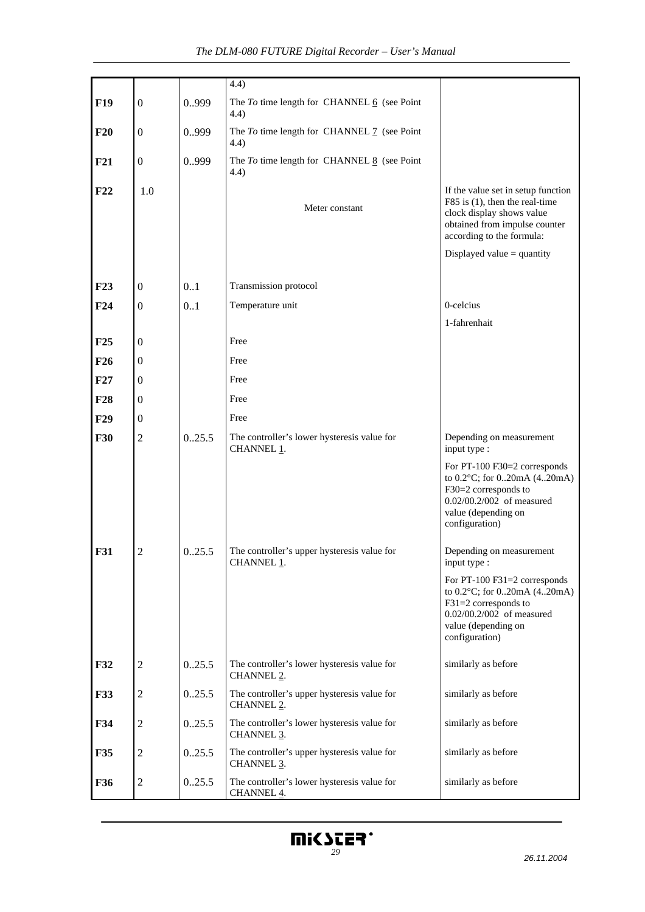|                                                                                                                     |                  |                          | 4.4)                                                                             |                                                                                                                                                                    |
|---------------------------------------------------------------------------------------------------------------------|------------------|--------------------------|----------------------------------------------------------------------------------|--------------------------------------------------------------------------------------------------------------------------------------------------------------------|
| <b>F19</b>                                                                                                          | $\boldsymbol{0}$ | 0.999                    | The $To$ time length for CHANNEL $6$ (see Point<br>4.4)                          |                                                                                                                                                                    |
| F20                                                                                                                 | $\boldsymbol{0}$ | 0999                     | The $To$ time length for CHANNEL $\frac{7}{2}$ (see Point<br>(4.4)               |                                                                                                                                                                    |
| F21                                                                                                                 | $\boldsymbol{0}$ | 0999                     | The $To$ time length for CHANNEL $8$ (see Point<br>(4.4)                         |                                                                                                                                                                    |
| F22                                                                                                                 | 1.0              |                          | Meter constant                                                                   | If the value set in setup function<br>F85 is $(1)$ , then the real-time<br>clock display shows value<br>obtained from impulse counter<br>according to the formula: |
|                                                                                                                     |                  |                          |                                                                                  | Displayed value $=$ quantity                                                                                                                                       |
| F23                                                                                                                 | $\boldsymbol{0}$ | 0.1                      | Transmission protocol                                                            |                                                                                                                                                                    |
| F24                                                                                                                 | $\boldsymbol{0}$ | 0.1                      | Temperature unit                                                                 | 0-celcius                                                                                                                                                          |
|                                                                                                                     |                  |                          |                                                                                  | 1-fahrenhait                                                                                                                                                       |
| F25                                                                                                                 | $\boldsymbol{0}$ |                          | Free                                                                             |                                                                                                                                                                    |
| F26                                                                                                                 | $\boldsymbol{0}$ |                          | Free                                                                             |                                                                                                                                                                    |
| F27                                                                                                                 | $\boldsymbol{0}$ |                          | Free                                                                             |                                                                                                                                                                    |
| <b>F28</b>                                                                                                          | $\boldsymbol{0}$ |                          | Free                                                                             |                                                                                                                                                                    |
| F29                                                                                                                 | $\boldsymbol{0}$ |                          | Free                                                                             |                                                                                                                                                                    |
| <b>F30</b>                                                                                                          | $\overline{2}$   | 0.25.5                   | The controller's lower hysteresis value for<br>CHANNEL 1.                        | Depending on measurement<br>input type :                                                                                                                           |
|                                                                                                                     |                  |                          |                                                                                  | For PT-100 F30=2 corresponds<br>to 0.2°C; for 020mA (420mA)<br>F30=2 corresponds to<br>0.02/00.2/002 of measured<br>value (depending on<br>configuration)          |
| $\overline{c}$<br>The controller's upper hysteresis value for<br><b>F31</b><br>0.25.5<br>CHANNEL 1.<br>input type : |                  | Depending on measurement |                                                                                  |                                                                                                                                                                    |
|                                                                                                                     |                  |                          |                                                                                  | For PT-100 F31=2 corresponds<br>to 0.2°C; for 020mA (420mA)<br>$F31=2$ corresponds to<br>0.02/00.2/002 of measured<br>value (depending on<br>configuration)        |
| F32                                                                                                                 | $\sqrt{2}$       | 0.25.5                   | The controller's lower hysteresis value for<br>similarly as before<br>CHANNEL 2. |                                                                                                                                                                    |
| <b>F33</b>                                                                                                          | $\overline{2}$   | 0.25.5                   | The controller's upper hysteresis value for<br>CHANNEL 2.                        | similarly as before                                                                                                                                                |
| F34                                                                                                                 | $\sqrt{2}$       | 0.25.5                   | The controller's lower hysteresis value for<br>CHANNEL 3.                        | similarly as before                                                                                                                                                |
| F35                                                                                                                 | $\boldsymbol{2}$ | 0.25.5                   | The controller's upper hysteresis value for<br>CHANNEL 3.                        | similarly as before                                                                                                                                                |
| F36                                                                                                                 | $\boldsymbol{2}$ | 0.25.5                   | The controller's lower hysteresis value for<br>similarly as before<br>CHANNEL 4. |                                                                                                                                                                    |

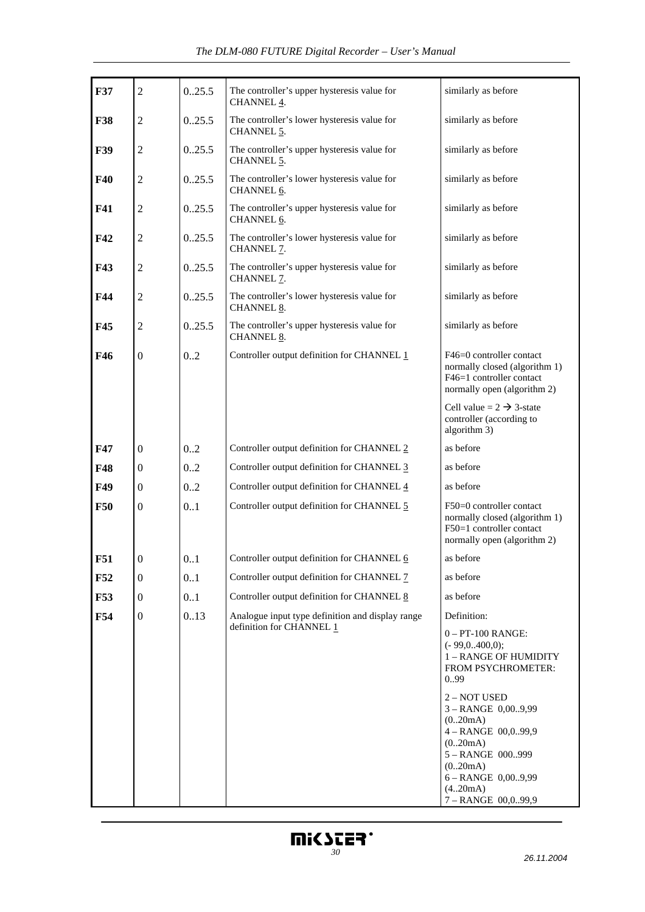| <b>F37</b> | $\overline{2}$   | 0.25.5 | The controller's upper hysteresis value for<br>similarly as before<br>CHANNEL 4. |                                                                                                                                                                                                                           |  |
|------------|------------------|--------|----------------------------------------------------------------------------------|---------------------------------------------------------------------------------------------------------------------------------------------------------------------------------------------------------------------------|--|
| <b>F38</b> | $\overline{2}$   | 0.25.5 | The controller's lower hysteresis value for<br>CHANNEL 5.                        | similarly as before                                                                                                                                                                                                       |  |
| <b>F39</b> | $\overline{2}$   | 0.25.5 | The controller's upper hysteresis value for<br>CHANNEL 5.                        | similarly as before                                                                                                                                                                                                       |  |
| F40        | $\overline{2}$   | 0.25.5 | The controller's lower hysteresis value for<br>CHANNEL 6.                        | similarly as before                                                                                                                                                                                                       |  |
| F41        | $\overline{2}$   | 0.25.5 | The controller's upper hysteresis value for<br>CHANNEL 6.                        | similarly as before                                                                                                                                                                                                       |  |
| F42        | $\overline{2}$   | 0.25.5 | The controller's lower hysteresis value for<br>CHANNEL 7.                        | similarly as before                                                                                                                                                                                                       |  |
| F43        | $\overline{2}$   | 0.25.5 | The controller's upper hysteresis value for<br>CHANNEL 7.                        | similarly as before                                                                                                                                                                                                       |  |
| F44        | $\overline{2}$   | 0.25.5 | The controller's lower hysteresis value for<br>CHANNEL 8.                        | similarly as before                                                                                                                                                                                                       |  |
| F45        | $\overline{2}$   | 0.25.5 | The controller's upper hysteresis value for<br>CHANNEL 8.                        | similarly as before                                                                                                                                                                                                       |  |
| F46        | $\boldsymbol{0}$ | 0.2    | Controller output definition for CHANNEL 1                                       | F46=0 controller contact<br>normally closed (algorithm 1)<br>F46=1 controller contact<br>normally open (algorithm 2)                                                                                                      |  |
|            |                  |        |                                                                                  | Cell value = $2 \rightarrow 3$ -state<br>controller (according to<br>algorithm 3)                                                                                                                                         |  |
| F47        | $\boldsymbol{0}$ | 0.2    | Controller output definition for CHANNEL 2                                       | as before                                                                                                                                                                                                                 |  |
| F48        | $\boldsymbol{0}$ | 0.2    | Controller output definition for CHANNEL 3                                       | as before                                                                                                                                                                                                                 |  |
| F49        | $\boldsymbol{0}$ | 0.2    | Controller output definition for CHANNEL 4                                       | as before                                                                                                                                                                                                                 |  |
| <b>F50</b> | $\boldsymbol{0}$ | 0.1    | Controller output definition for CHANNEL 5                                       | F50=0 controller contact<br>normally closed (algorithm 1)<br>F50=1 controller contact<br>normally open (algorithm 2)                                                                                                      |  |
| F51        | 0                | 0.1    | Controller output definition for CHANNEL 6                                       | as before                                                                                                                                                                                                                 |  |
| F52        | $\boldsymbol{0}$ | 0.1    | Controller output definition for CHANNEL 7                                       | as before                                                                                                                                                                                                                 |  |
| F53        | $\boldsymbol{0}$ | 0.1    | Controller output definition for CHANNEL 8                                       | as before                                                                                                                                                                                                                 |  |
| F54        | $\boldsymbol{0}$ | 0.13   | Analogue input type definition and display range<br>definition for CHANNEL 1     | Definition:<br>$0 - PT-100$ RANGE:<br>$(-99,0400,0);$<br>1 - RANGE OF HUMIDITY<br>FROM PSYCHROMETER:<br>099<br>2 - NOT USED<br>3-RANGE 0,009,99<br>(0.20mA)<br>4-RANGE 00,099,9<br>(0.20mA)<br>5-RANGE 000999<br>(0.20mA) |  |
|            |                  |        |                                                                                  | 6 - RANGE 0,009,99<br>(420mA)<br>7 - RANGE 00,099,9                                                                                                                                                                       |  |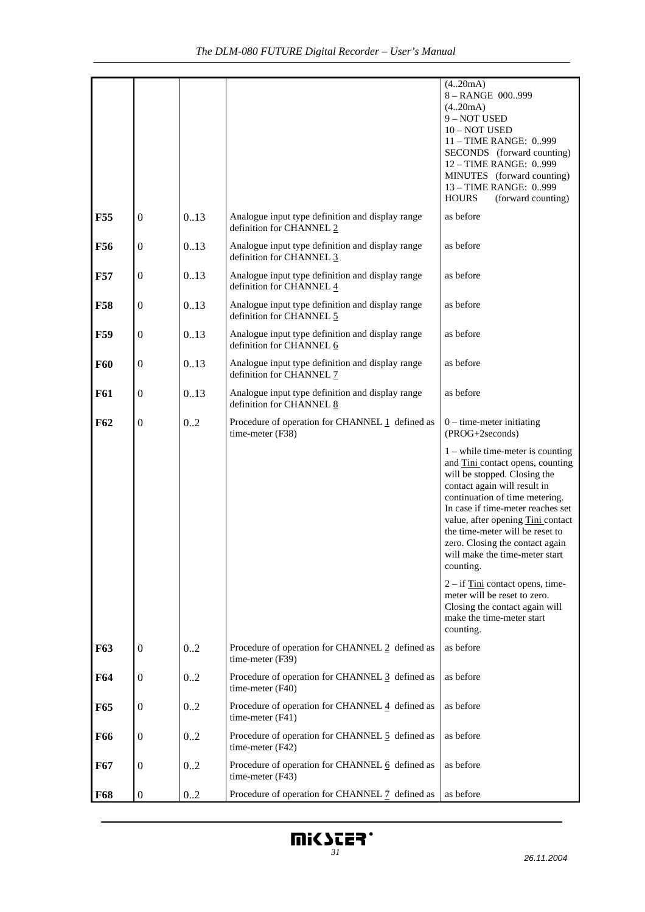|            |                  |      |                                                                                           | (420mA)<br>8-RANGE 000999<br>(4.20mA)<br>9 - NOT USED<br>10 - NOT USED<br>11 - TIME RANGE: 0999<br>SECONDS (forward counting)<br>12 - TIME RANGE: 0999<br>MINUTES (forward counting)<br>13 - TIME RANGE: 0999<br>(forward counting)<br><b>HOURS</b>                                                                                                                                                                       |
|------------|------------------|------|-------------------------------------------------------------------------------------------|---------------------------------------------------------------------------------------------------------------------------------------------------------------------------------------------------------------------------------------------------------------------------------------------------------------------------------------------------------------------------------------------------------------------------|
| <b>F55</b> | $\mathbf{0}$     | 0.13 | Analogue input type definition and display range<br>definition for CHANNEL 2              | as before                                                                                                                                                                                                                                                                                                                                                                                                                 |
| <b>F56</b> | $\boldsymbol{0}$ | 0.13 | Analogue input type definition and display range<br>definition for CHANNEL 3              | as before                                                                                                                                                                                                                                                                                                                                                                                                                 |
| <b>F57</b> | $\mathbf{0}$     | 0.13 | Analogue input type definition and display range<br>definition for CHANNEL 4              | as before                                                                                                                                                                                                                                                                                                                                                                                                                 |
| <b>F58</b> | $\boldsymbol{0}$ | 0.13 | Analogue input type definition and display range<br>definition for CHANNEL 5              | as before                                                                                                                                                                                                                                                                                                                                                                                                                 |
| <b>F59</b> | $\mathbf{0}$     | 0.13 | Analogue input type definition and display range<br>definition for CHANNEL 6              | as before                                                                                                                                                                                                                                                                                                                                                                                                                 |
| <b>F60</b> | $\boldsymbol{0}$ | 0.13 | Analogue input type definition and display range<br>definition for CHANNEL 7              | as before                                                                                                                                                                                                                                                                                                                                                                                                                 |
| <b>F61</b> | $\boldsymbol{0}$ | 0.13 | Analogue input type definition and display range<br>as before<br>definition for CHANNEL 8 |                                                                                                                                                                                                                                                                                                                                                                                                                           |
| F62        | $\boldsymbol{0}$ | 0.2  | Procedure of operation for CHANNEL 1 defined as<br>time-meter (F38)                       | $0$ – time-meter initiating<br>(PROG+2seconds)<br>$1$ – while time-meter is counting<br>and Tini contact opens, counting<br>will be stopped. Closing the<br>contact again will result in<br>continuation of time metering.<br>In case if time-meter reaches set<br>value, after opening Tini contact<br>the time-meter will be reset to<br>zero. Closing the contact again<br>will make the time-meter start<br>counting. |
|            |                  |      |                                                                                           | $2 - if$ Tini contact opens, time-<br>meter will be reset to zero.<br>Closing the contact again will<br>make the time-meter start<br>counting.                                                                                                                                                                                                                                                                            |
| F63        | $\boldsymbol{0}$ | 0.2  | as before<br>Procedure of operation for CHANNEL 2 defined as<br>time-meter (F39)          |                                                                                                                                                                                                                                                                                                                                                                                                                           |
| <b>F64</b> | $\mathbf{0}$     | 0.2  | Procedure of operation for CHANNEL 3 defined as<br>as before<br>time-meter $(F40)$        |                                                                                                                                                                                                                                                                                                                                                                                                                           |
| F65        | $\boldsymbol{0}$ | 0.2  | Procedure of operation for CHANNEL 4 defined as<br>time-meter $(F41)$                     | as before                                                                                                                                                                                                                                                                                                                                                                                                                 |
| <b>F66</b> | $\mathbf{0}$     | 0.2  | Procedure of operation for CHANNEL 5 defined as<br>time-meter (F42)                       | as before                                                                                                                                                                                                                                                                                                                                                                                                                 |
| F67        | $\boldsymbol{0}$ | 0.2  | Procedure of operation for CHANNEL 6 defined as<br>as before<br>time-meter (F43)          |                                                                                                                                                                                                                                                                                                                                                                                                                           |
| <b>F68</b> | $\boldsymbol{0}$ | 02   | Procedure of operation for CHANNEL 7 defined as<br>as before                              |                                                                                                                                                                                                                                                                                                                                                                                                                           |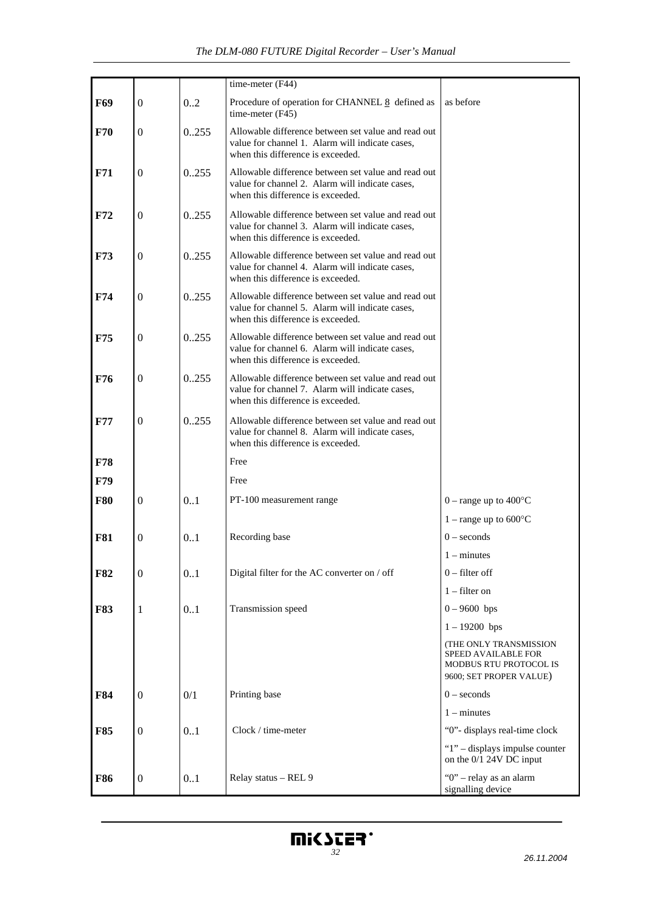|                                                     |                  |               | time-meter (F44)                                                                                                                            |                                                           |  |
|-----------------------------------------------------|------------------|---------------|---------------------------------------------------------------------------------------------------------------------------------------------|-----------------------------------------------------------|--|
| F69                                                 | $\mathbf{0}$     | 0.2           | Procedure of operation for CHANNEL 8 defined as<br>time-meter (F45)                                                                         | as before                                                 |  |
| F70                                                 | $\mathbf{0}$     | 0255          | Allowable difference between set value and read out<br>value for channel 1. Alarm will indicate cases,<br>when this difference is exceeded. |                                                           |  |
| F71                                                 | $\mathbf{0}$     | 0.255         | Allowable difference between set value and read out<br>value for channel 2. Alarm will indicate cases,<br>when this difference is exceeded. |                                                           |  |
| F72                                                 | $\mathbf{0}$     | 0255          | Allowable difference between set value and read out<br>value for channel 3. Alarm will indicate cases,<br>when this difference is exceeded. |                                                           |  |
| F73                                                 | $\boldsymbol{0}$ | 0255          | Allowable difference between set value and read out<br>value for channel 4. Alarm will indicate cases,<br>when this difference is exceeded. |                                                           |  |
| F74                                                 | $\mathbf{0}$     | 0255          | Allowable difference between set value and read out<br>value for channel 5. Alarm will indicate cases,<br>when this difference is exceeded. |                                                           |  |
| F75                                                 | $\mathbf{0}$     | 0.255         | Allowable difference between set value and read out<br>value for channel 6. Alarm will indicate cases,<br>when this difference is exceeded. |                                                           |  |
| F76                                                 | $\mathbf{0}$     | 0.255         | Allowable difference between set value and read out<br>value for channel 7. Alarm will indicate cases,<br>when this difference is exceeded. |                                                           |  |
| <b>F77</b>                                          | $\mathbf{0}$     | 0.255         | Allowable difference between set value and read out<br>value for channel 8. Alarm will indicate cases,<br>when this difference is exceeded. |                                                           |  |
| F78                                                 |                  |               | Free                                                                                                                                        |                                                           |  |
| F79                                                 |                  |               | Free                                                                                                                                        |                                                           |  |
| <b>F80</b>                                          | $\mathbf{0}$     | 0.1           | PT-100 measurement range                                                                                                                    | $0$ – range up to 400 $^{\circ}$ C                        |  |
|                                                     |                  |               |                                                                                                                                             | 1 – range up to $600^{\circ}$ C                           |  |
| Recording base<br><b>F81</b><br>0.1<br>$\mathbf{0}$ |                  | $0$ – seconds |                                                                                                                                             |                                                           |  |
|                                                     |                  |               |                                                                                                                                             | $1 -$ minutes                                             |  |
| <b>F82</b>                                          | $\boldsymbol{0}$ | 0.1           | Digital filter for the AC converter on / off                                                                                                | $0$ – filter off                                          |  |
|                                                     |                  |               |                                                                                                                                             | $1$ – filter on                                           |  |
| <b>F83</b>                                          | 1                | 0.1           | Transmission speed                                                                                                                          | $0 - 9600$ bps                                            |  |
|                                                     |                  |               |                                                                                                                                             | $1 - 19200$ bps                                           |  |
|                                                     |                  |               | (THE ONLY TRANSMISSION<br>SPEED AVAILABLE FOR<br>MODBUS RTU PROTOCOL IS<br>9600; SET PROPER VALUE)                                          |                                                           |  |
| F84                                                 | $\boldsymbol{0}$ | 0/1           | Printing base                                                                                                                               | $0$ – seconds                                             |  |
|                                                     |                  |               |                                                                                                                                             | $1 -$ minutes                                             |  |
| <b>F85</b>                                          | $\boldsymbol{0}$ | 0.1           | Clock / time-meter                                                                                                                          | "0"- displays real-time clock                             |  |
|                                                     |                  |               |                                                                                                                                             | "1" – displays impulse counter<br>on the 0/1 24V DC input |  |
| F86                                                 | $\boldsymbol{0}$ | 0.1           | Relay status - REL 9                                                                                                                        | "0" - relay as an alarm<br>signalling device              |  |

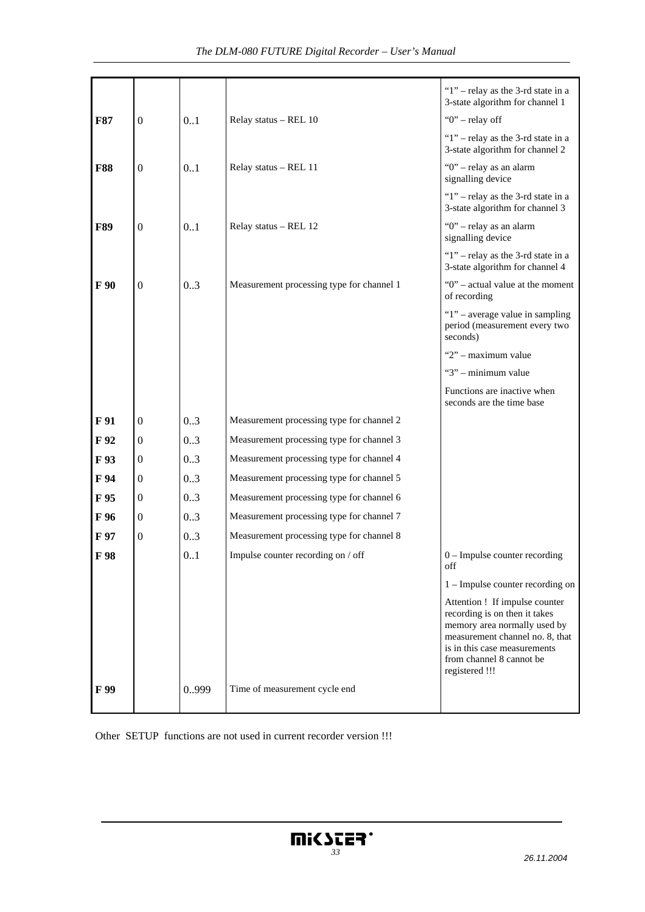|            |                  |       |                                           | "1" – relay as the 3-rd state in a<br>3-state algorithm for channel 1                                                                                                                                            |
|------------|------------------|-------|-------------------------------------------|------------------------------------------------------------------------------------------------------------------------------------------------------------------------------------------------------------------|
| <b>F87</b> | $\mathbf{0}$     | 0.1   | Relay status - REL 10                     | "0" – relay off                                                                                                                                                                                                  |
|            |                  |       |                                           | " $1$ " – relay as the 3-rd state in a<br>3-state algorithm for channel 2                                                                                                                                        |
| <b>F88</b> | $\boldsymbol{0}$ | 0.1   | Relay status - REL 11                     | "0" - relay as an alarm<br>signalling device                                                                                                                                                                     |
|            |                  |       |                                           | " $1$ " – relay as the 3-rd state in a<br>3-state algorithm for channel 3                                                                                                                                        |
| <b>F89</b> | $\mathbf{0}$     | 0.1   | Relay status - REL 12                     | "0" - relay as an alarm<br>signalling device                                                                                                                                                                     |
|            |                  |       |                                           | " $1$ " – relay as the 3-rd state in a<br>3-state algorithm for channel 4                                                                                                                                        |
| F 90       | $\boldsymbol{0}$ | 0.3   | Measurement processing type for channel 1 | "0" – actual value at the moment<br>of recording                                                                                                                                                                 |
|            |                  |       |                                           | " $1"$ – average value in sampling<br>period (measurement every two<br>seconds)                                                                                                                                  |
|            |                  |       |                                           | "2" - maximum value                                                                                                                                                                                              |
|            |                  |       |                                           | "3" - minimum value                                                                                                                                                                                              |
|            |                  |       |                                           | Functions are inactive when<br>seconds are the time base                                                                                                                                                         |
| F 91       | $\mathbf{0}$     | 0.3   | Measurement processing type for channel 2 |                                                                                                                                                                                                                  |
| F 92       | $\boldsymbol{0}$ | 0.3   | Measurement processing type for channel 3 |                                                                                                                                                                                                                  |
| F 93       | $\boldsymbol{0}$ | 0.3   | Measurement processing type for channel 4 |                                                                                                                                                                                                                  |
| F 94       | $\boldsymbol{0}$ | 0.3   | Measurement processing type for channel 5 |                                                                                                                                                                                                                  |
| F 95       | $\mathbf{0}$     | 0.3   | Measurement processing type for channel 6 |                                                                                                                                                                                                                  |
| F 96       | $\mathbf{0}$     | 0.3   | Measurement processing type for channel 7 |                                                                                                                                                                                                                  |
| F 97       | $\mathbf{0}$     | 0.3   | Measurement processing type for channel 8 |                                                                                                                                                                                                                  |
| F 98       |                  | 01    | Impulse counter recording on / off        | $0$ – Impulse counter recording<br>off                                                                                                                                                                           |
|            |                  |       |                                           | $1 -$ Impulse counter recording on                                                                                                                                                                               |
|            |                  |       |                                           | Attention ! If impulse counter<br>recording is on then it takes<br>memory area normally used by<br>measurement channel no. 8, that<br>is in this case measurements<br>from channel 8 cannot be<br>registered !!! |
| F 99       |                  | 0.999 | Time of measurement cycle end             |                                                                                                                                                                                                                  |

Other SETUP functions are not used in current recorder version !!!

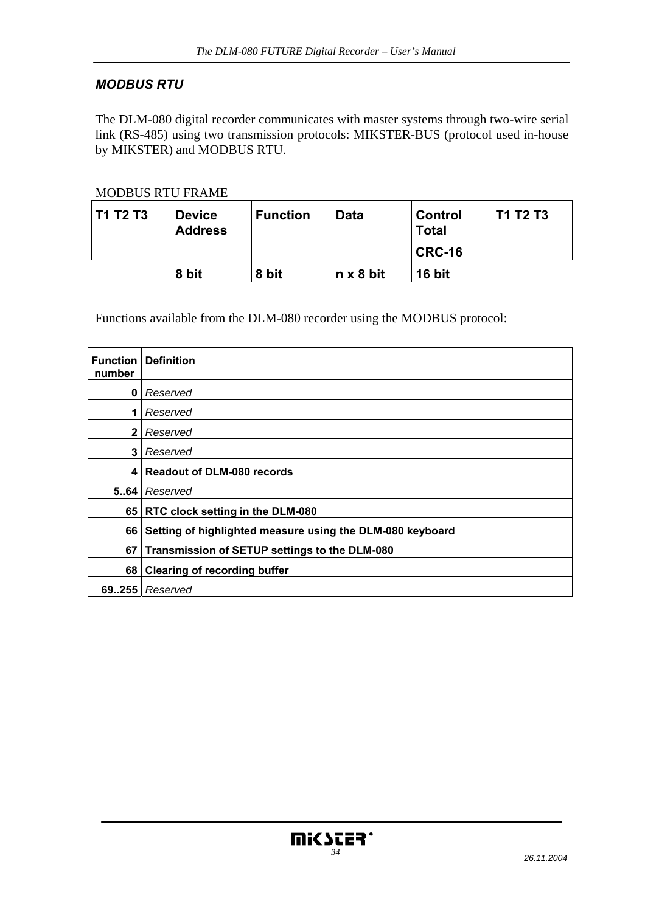# *MODBUS RTU*

The DLM-080 digital recorder communicates with master systems through two-wire serial link (RS-485) using two transmission protocols: MIKSTER-BUS (protocol used in-house by MIKSTER) and MODBUS RTU.

#### MODBUS RTU FRAME

| <b>T1 T2 T3</b> | <b>Device</b><br><b>Address</b> | <b>Function</b> | <b>Data</b>      | <b>Control</b><br><b>Total</b><br>CRC-16 | <b>T1 T2 T3</b> |
|-----------------|---------------------------------|-----------------|------------------|------------------------------------------|-----------------|
|                 | 8 bit                           | 8 bit           | $n \times 8$ bit | 16 bit                                   |                 |

Functions available from the DLM-080 recorder using the MODBUS protocol:

| <b>Function</b> I<br>number | <b>Definition</b>                                         |
|-----------------------------|-----------------------------------------------------------|
| $\mathbf{0}$                | Reserved                                                  |
| 1                           | Reserved                                                  |
| $\mathbf{2}$                | Reserved                                                  |
| 3                           | Reserved                                                  |
| 4                           | <b>Readout of DLM-080 records</b>                         |
| 5.64                        | Reserved                                                  |
|                             | 65 RTC clock setting in the DLM-080                       |
| 66                          | Setting of highlighted measure using the DLM-080 keyboard |
| 67                          | Transmission of SETUP settings to the DLM-080             |
| 68                          | <b>Clearing of recording buffer</b>                       |
|                             | $69.255$ Reserved                                         |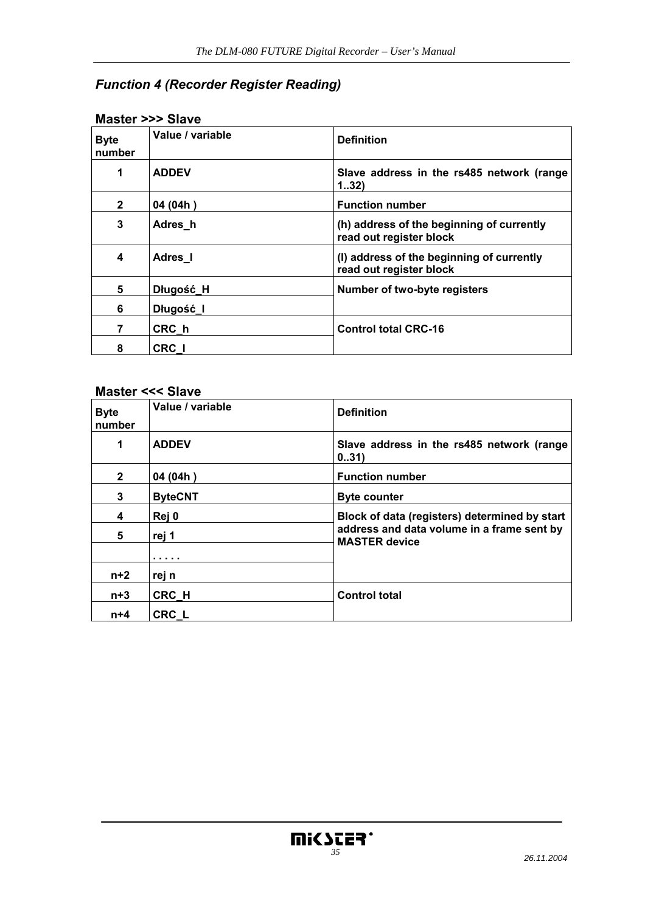# *Function 4 (Recorder Register Reading)*

| <b>Byte</b><br>number | Value / variable | <b>Definition</b>                                                    |
|-----------------------|------------------|----------------------------------------------------------------------|
| 1                     | <b>ADDEV</b>     | Slave address in the rs485 network (range<br>132)                    |
| $\mathbf{2}$          | 04 (04h)         | <b>Function number</b>                                               |
| 3                     | Adres h          | (h) address of the beginning of currently<br>read out register block |
| 4                     | Adres I          | (I) address of the beginning of currently<br>read out register block |
| 5                     | Długość_H        | Number of two-byte registers                                         |
| 6                     | Długość I        |                                                                      |
| 7                     | CRC h            | <b>Control total CRC-16</b>                                          |
| 8                     | CRC I            |                                                                      |

#### **Master >>> Slave**

## **Master <<< Slave**

| <b>Byte</b><br>number | Value / variable | <b>Definition</b>                                                  |
|-----------------------|------------------|--------------------------------------------------------------------|
| 1                     | <b>ADDEV</b>     | Slave address in the rs485 network (range<br>031)                  |
| $\mathbf{2}$          | 04 (04h)         | <b>Function number</b>                                             |
| 3                     | <b>ByteCNT</b>   | <b>Byte counter</b>                                                |
| 4                     | Rej 0            | Block of data (registers) determined by start                      |
| 5                     | rej 1            | address and data volume in a frame sent by<br><b>MASTER device</b> |
|                       | .                |                                                                    |
| $n+2$                 | rej n            |                                                                    |
| $n+3$                 | CRC H            | <b>Control total</b>                                               |
| $n+4$                 | <b>CRC L</b>     |                                                                    |

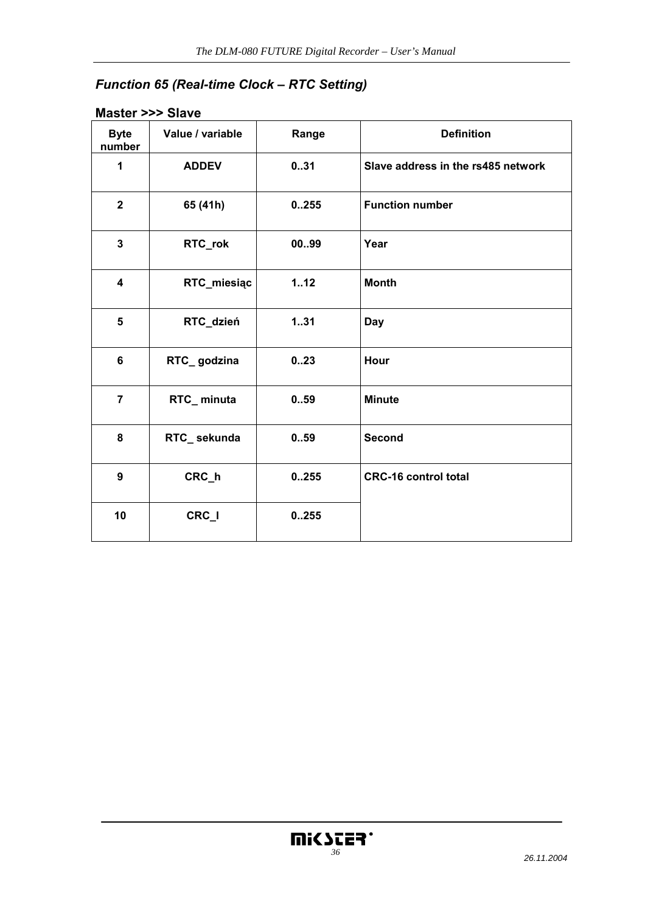# *Function 65 (Real-time Clock – RTC Setting)*

# **Master >>> Slave**

| <b>Byte</b><br>number   | Value / variable | Range | <b>Definition</b>                  |
|-------------------------|------------------|-------|------------------------------------|
| 1                       | <b>ADDEV</b>     | 031   | Slave address in the rs485 network |
| $\overline{2}$          | 65 (41h)         | 0.255 | <b>Function number</b>             |
| $\mathbf{3}$            | RTC_rok          | 0099  | Year                               |
| $\overline{\mathbf{4}}$ | RTC_miesiąc      | 1.12  | <b>Month</b>                       |
| 5                       | RTC_dzień        | 131   | Day                                |
| $6\phantom{a}$          | RTC_godzina      | 0.23  | Hour                               |
| $\overline{7}$          | RTC_minuta       | 0.59  | <b>Minute</b>                      |
| 8                       | RTC_sekunda      | 0.59  | <b>Second</b>                      |
| 9                       | CRC_h            | 0.255 | <b>CRC-16 control total</b>        |
| 10                      | CRC_I            | 0.255 |                                    |

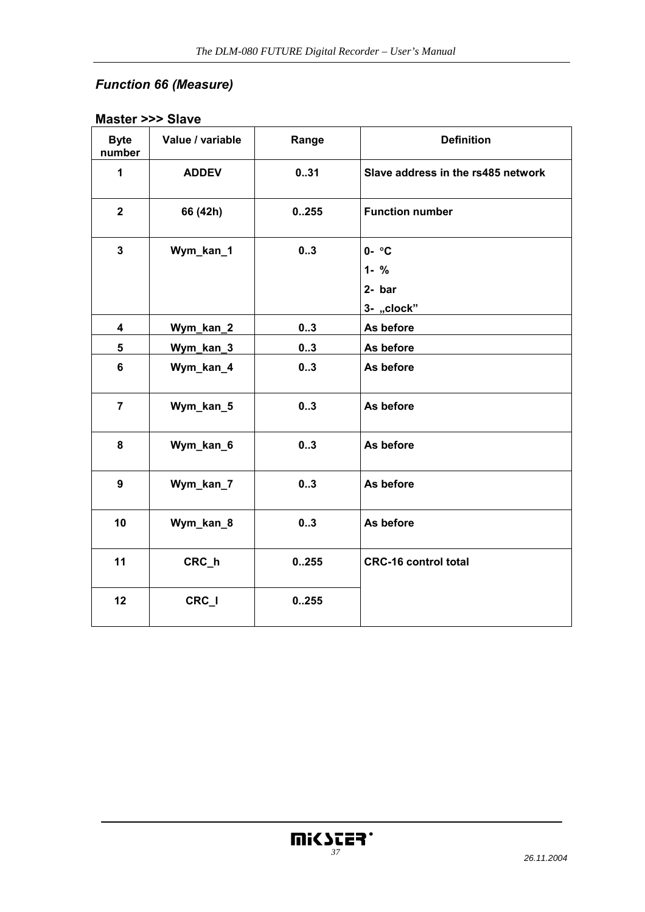# *Function 66 (Measure)*

| <b>Byte</b><br>number | Value / variable | Range | <b>Definition</b>                                 |
|-----------------------|------------------|-------|---------------------------------------------------|
| $\mathbf{1}$          | <b>ADDEV</b>     | 031   | Slave address in the rs485 network                |
| $\mathbf{2}$          | 66 (42h)         | 0.255 | <b>Function number</b>                            |
| $\mathbf{3}$          | Wym_kan_1        | 03    | $0 - \circ C$<br>$1 - %$<br>$2-bar$<br>3- "clock" |
| 4                     | Wym_kan_2        | 03    | As before                                         |
| 5                     | Wym_kan_3        | 03    | As before                                         |
| $6\phantom{a}$        | Wym_kan_4        | 03    | As before                                         |
| $\overline{7}$        | Wym_kan_5        | 03    | As before                                         |
| 8                     | Wym_kan_6        | 03    | As before                                         |
| 9                     | Wym_kan_7        | 03    | As before                                         |
| 10                    | Wym_kan_8        | 03    | As before                                         |
| 11                    | CRC_h            | 0.255 | <b>CRC-16 control total</b>                       |
| 12                    | CRC_I            | 0.255 |                                                   |

# **Master >>> Slave**

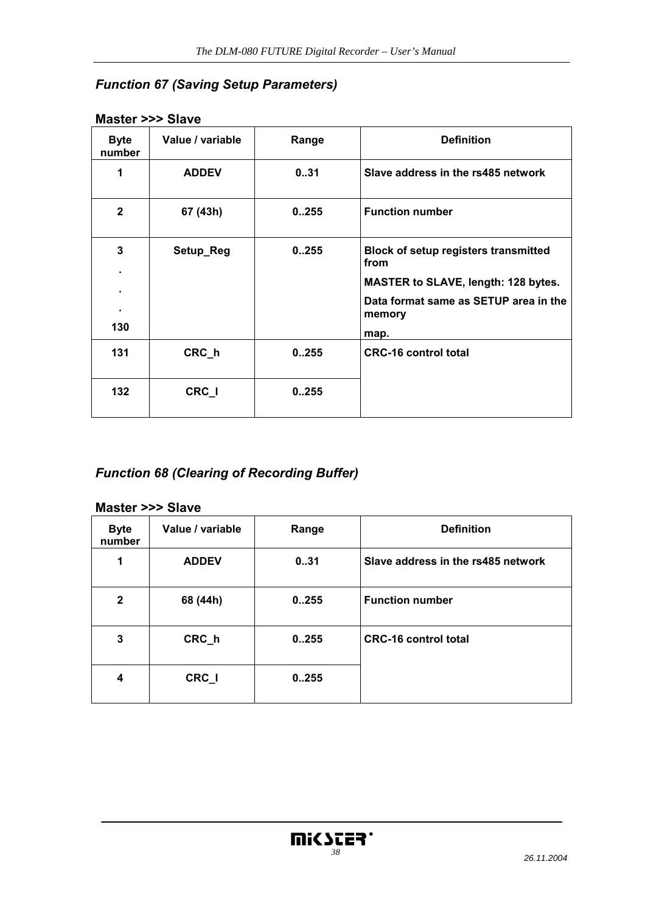# *Function 67 (Saving Setup Parameters)*

| <b>Byte</b><br>number | Value / variable | Range | <b>Definition</b>                                   |
|-----------------------|------------------|-------|-----------------------------------------------------|
| 1                     | <b>ADDEV</b>     | 031   | Slave address in the rs485 network                  |
| $\mathbf{2}$          | 67 (43h)         | 0.255 | <b>Function number</b>                              |
| 3                     | Setup_Reg        | 0.255 | <b>Block of setup registers transmitted</b><br>from |
|                       |                  |       | <b>MASTER to SLAVE, length: 128 bytes.</b>          |
|                       |                  |       | Data format same as SETUP area in the<br>memory     |
| 130                   |                  |       | map.                                                |
| 131                   | CRC_h            | 0.255 | <b>CRC-16 control total</b>                         |
| 132                   | CRC_I            | 0255  |                                                     |

## **Master >>> Slave**

# *Function 68 (Clearing of Recording Buffer)*

#### **Master >>> Slave**

| <b>Byte</b><br>number | Value / variable | Range | <b>Definition</b>                  |
|-----------------------|------------------|-------|------------------------------------|
| 1                     | <b>ADDEV</b>     | 031   | Slave address in the rs485 network |
| $\mathbf{2}$          | 68 (44h)         | 0.255 | <b>Function number</b>             |
| 3                     | CRC_h            | 0.255 | <b>CRC-16 control total</b>        |
| 4                     | CRC_I            | 0.255 |                                    |

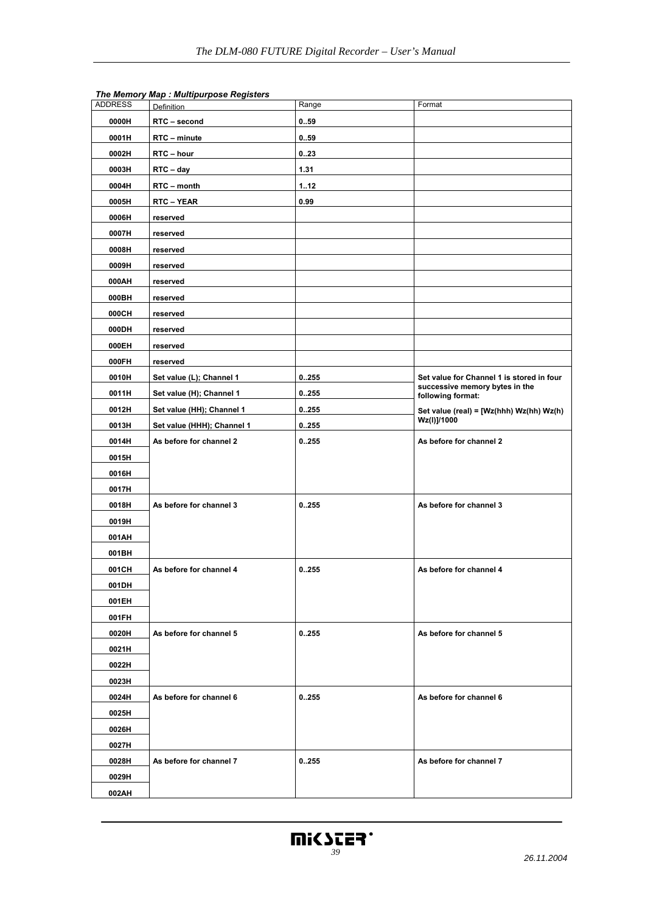| <b>ADDRESS</b> | <b>Definition</b>          | Range | Format                                              |
|----------------|----------------------------|-------|-----------------------------------------------------|
| 0000H          | RTC - second               | 0.59  |                                                     |
| 0001H          | RTC - minute               | 0.59  |                                                     |
| 0002H          | RTC - hour                 | 0.23  |                                                     |
| 0003H          | RTC - day                  | 1.31  |                                                     |
| 0004H          | RTC - month                | 112   |                                                     |
| 0005H          | RTC-YEAR                   | 0.99  |                                                     |
| 0006H          | reserved                   |       |                                                     |
| 0007H          | reserved                   |       |                                                     |
| 0008H          | reserved                   |       |                                                     |
| 0009H          | reserved                   |       |                                                     |
| 000AH          | reserved                   |       |                                                     |
| 000BH          | reserved                   |       |                                                     |
| 000CH          | reserved                   |       |                                                     |
| 000DH          | reserved                   |       |                                                     |
| 000EH          | reserved                   |       |                                                     |
| 000FH          | reserved                   |       |                                                     |
| 0010H          | Set value (L); Channel 1   | 0.255 | Set value for Channel 1 is stored in four           |
| 0011H          | Set value (H); Channel 1   | 0.255 | successive memory bytes in the<br>following format: |
| 0012H          | Set value (HH); Channel 1  | 0.255 | Set value (real) = [Wz(hhh) Wz(hh) Wz(h)            |
| 0013H          | Set value (HHH); Channel 1 | 0.255 | Wz(I)]/1000                                         |
| 0014H          | As before for channel 2    | 0.255 | As before for channel 2                             |
| 0015H          |                            |       |                                                     |
| 0016H          |                            |       |                                                     |
| 0017H          |                            |       |                                                     |
| 0018H          | As before for channel 3    | 0.255 | As before for channel 3                             |
| 0019H          |                            |       |                                                     |
| 001AH          |                            |       |                                                     |
| 001BH          |                            |       |                                                     |
| 001CH          | As before for channel 4    | 0255  | As before for channel 4                             |
| 001DH          |                            |       |                                                     |
| 001EH          |                            |       |                                                     |
| 001FH          |                            |       |                                                     |
| 0020H          | As before for channel 5    | 0.255 | As before for channel 5                             |
| 0021H          |                            |       |                                                     |
| 0022H          |                            |       |                                                     |
| 0023H          |                            |       |                                                     |
| 0024H          | As before for channel 6    | 0.255 | As before for channel 6                             |
| 0025H          |                            |       |                                                     |
| 0026H          |                            |       |                                                     |
| 0027H          |                            |       |                                                     |
| 0028H          | As before for channel 7    | 0.255 | As before for channel 7                             |
| 0029H          |                            |       |                                                     |
| 002AH          |                            |       |                                                     |

#### *The Memory Map : Multipurpose Registers*

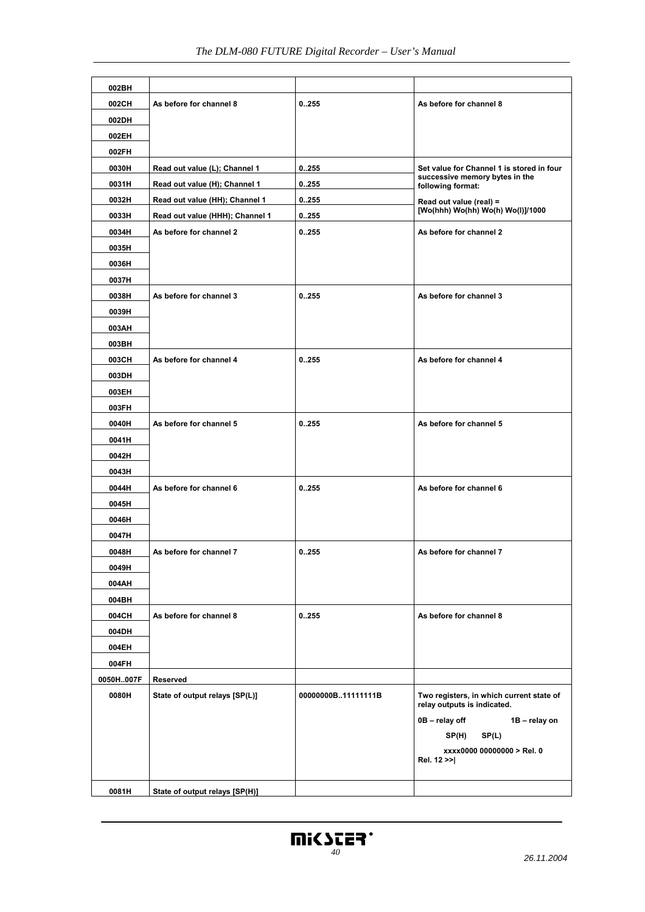| 002BH     |                                 |                    |                                                                         |
|-----------|---------------------------------|--------------------|-------------------------------------------------------------------------|
| 002CH     | As before for channel 8         | 0255               | As before for channel 8                                                 |
| 002DH     |                                 |                    |                                                                         |
| 002EH     |                                 |                    |                                                                         |
| 002FH     |                                 |                    |                                                                         |
| 0030H     | Read out value (L); Channel 1   | 0.255              | Set value for Channel 1 is stored in four                               |
| 0031H     | Read out value (H); Channel 1   | 0255               | successive memory bytes in the<br>following format:                     |
| 0032H     | Read out value (HH); Channel 1  | 0255               | Read out value (real) =                                                 |
| 0033H     | Read out value (HHH); Channel 1 | 0.255              | [Wo(hhh) Wo(hh) Wo(h) Wo(l)]/1000                                       |
| 0034H     | As before for channel 2         | 0255               | As before for channel 2                                                 |
| 0035H     |                                 |                    |                                                                         |
| 0036H     |                                 |                    |                                                                         |
| 0037H     |                                 |                    |                                                                         |
| 0038H     | As before for channel 3         | 0.255              | As before for channel 3                                                 |
| 0039H     |                                 |                    |                                                                         |
| 003AH     |                                 |                    |                                                                         |
| 003BH     |                                 |                    |                                                                         |
| 003CH     | As before for channel 4         | 0.255              | As before for channel 4                                                 |
| 003DH     |                                 |                    |                                                                         |
| 003EH     |                                 |                    |                                                                         |
| 003FH     |                                 |                    |                                                                         |
| 0040H     | As before for channel 5         | 0.255              | As before for channel 5                                                 |
| 0041H     |                                 |                    |                                                                         |
| 0042H     |                                 |                    |                                                                         |
| 0043H     |                                 |                    |                                                                         |
| 0044H     | As before for channel 6         | 0.255              | As before for channel 6                                                 |
| 0045H     |                                 |                    |                                                                         |
| 0046H     |                                 |                    |                                                                         |
| 0047H     |                                 |                    |                                                                         |
| 0048H     | As before for channel 7         | 0255               | As before for channel 7                                                 |
| 0049H     |                                 |                    |                                                                         |
| 004AH     |                                 |                    |                                                                         |
| 004BH     |                                 |                    |                                                                         |
| 004CH     | As before for channel 8         | 0.255              | As before for channel 8                                                 |
| 004DH     |                                 |                    |                                                                         |
| 004EH     |                                 |                    |                                                                         |
| 004FH     |                                 |                    |                                                                         |
| 0050H007F | Reserved                        |                    |                                                                         |
| 0080H     | State of output relays [SP(L)]  | 00000000B11111111B | Two registers, in which current state of<br>relay outputs is indicated. |
|           |                                 |                    | 0B - relay off<br>1B - relay on                                         |
|           |                                 |                    | SP(H)<br>SP(L)                                                          |
|           |                                 |                    | xxxx0000 00000000 > Rel. 0<br>Rel. 12 >>                                |
| 0081H     | State of output relays [SP(H)]  |                    |                                                                         |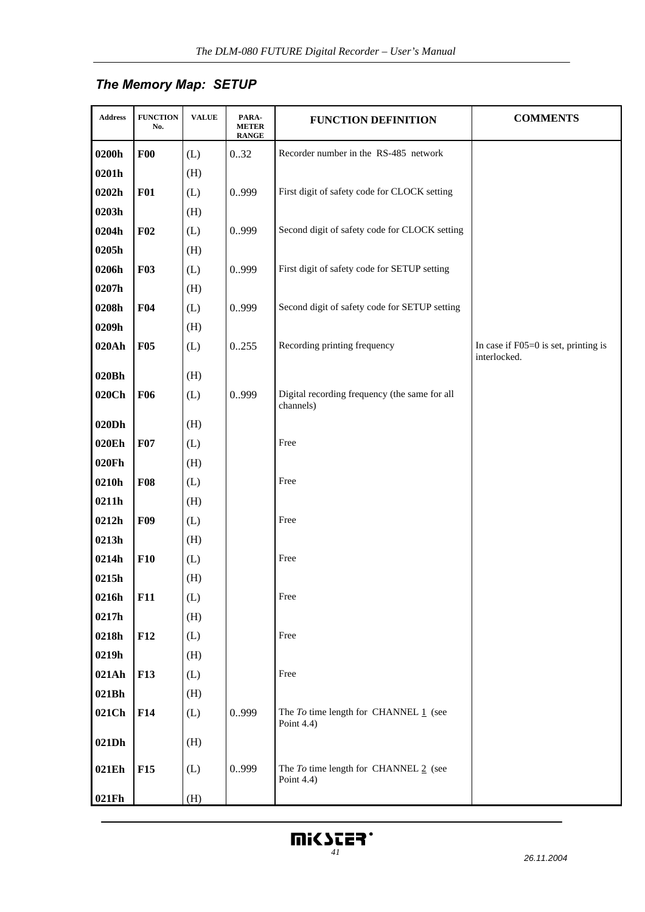# *The Memory Map: SETUP*

| Address           | <b>FUNCTION</b><br>No. | <b>VALUE</b> | PARA-<br><b>METER</b><br><b>RANGE</b> | <b>FUNCTION DEFINITION</b>                                 | <b>COMMENTS</b>                                      |
|-------------------|------------------------|--------------|---------------------------------------|------------------------------------------------------------|------------------------------------------------------|
| 0200h             | F00                    | (L)          | 0.32                                  | Recorder number in the RS-485 network                      |                                                      |
| 0201h             |                        | (H)          |                                       |                                                            |                                                      |
| 0202h             | F01                    | (L)          | 0.999                                 | First digit of safety code for CLOCK setting               |                                                      |
| 0203h             |                        | (H)          |                                       |                                                            |                                                      |
| 0204h             | F02                    | (L)          | 0.999                                 | Second digit of safety code for CLOCK setting              |                                                      |
| 0205h             |                        | (H)          |                                       |                                                            |                                                      |
| 0206h             | <b>F03</b>             | (L)          | 0.999                                 | First digit of safety code for SETUP setting               |                                                      |
| 0207h             |                        | (H)          |                                       |                                                            |                                                      |
| 0208h             | F04                    | (L)          | 0.999                                 | Second digit of safety code for SETUP setting              |                                                      |
| 0209h             |                        | (H)          |                                       |                                                            |                                                      |
| 020Ah             | <b>F05</b>             | (L)          | 0255                                  | Recording printing frequency                               | In case if F05=0 is set, printing is<br>interlocked. |
| 020Bh             |                        | (H)          |                                       |                                                            |                                                      |
| 020C <sub>h</sub> | <b>F06</b>             | (L)          | 0.999                                 | Digital recording frequency (the same for all<br>channels) |                                                      |
| 020Dh             |                        | (H)          |                                       |                                                            |                                                      |
| 020Eh             | F07                    | (L)          |                                       | Free                                                       |                                                      |
| 020Fh             |                        | (H)          |                                       |                                                            |                                                      |
| 0210h             | F08                    | (L)          |                                       | Free                                                       |                                                      |
| 0211h             |                        | (H)          |                                       |                                                            |                                                      |
| 0212h             | <b>F09</b>             | (L)          |                                       | Free                                                       |                                                      |
| 0213h             |                        | (H)          |                                       |                                                            |                                                      |
| 0214h             | F10                    | (L)          |                                       | Free                                                       |                                                      |
| 0215h             |                        | (H)          |                                       |                                                            |                                                      |
| 0216h             | F11                    | (L)          |                                       | Free                                                       |                                                      |
| 0217h             |                        | (H)          |                                       |                                                            |                                                      |
| 0218h             | F12                    | (L)          |                                       | Free                                                       |                                                      |
| 0219h             |                        | (H)          |                                       |                                                            |                                                      |
| 021Ah             | <b>F13</b>             | (L)          |                                       | Free                                                       |                                                      |
| 021Bh             |                        | (H)          |                                       |                                                            |                                                      |
| 021Ch             | F14                    | (L)          | 0.999                                 | The $To$ time length for CHANNEL $1$ (see<br>Point $4.4$ ) |                                                      |
| 021Dh             |                        | (H)          |                                       |                                                            |                                                      |
| 021Eh             | F15                    | (L)          | 0.999                                 | The $To$ time length for CHANNEL $2$ (see<br>Point 4.4)    |                                                      |
| 021Fh             |                        | (H)          |                                       |                                                            |                                                      |

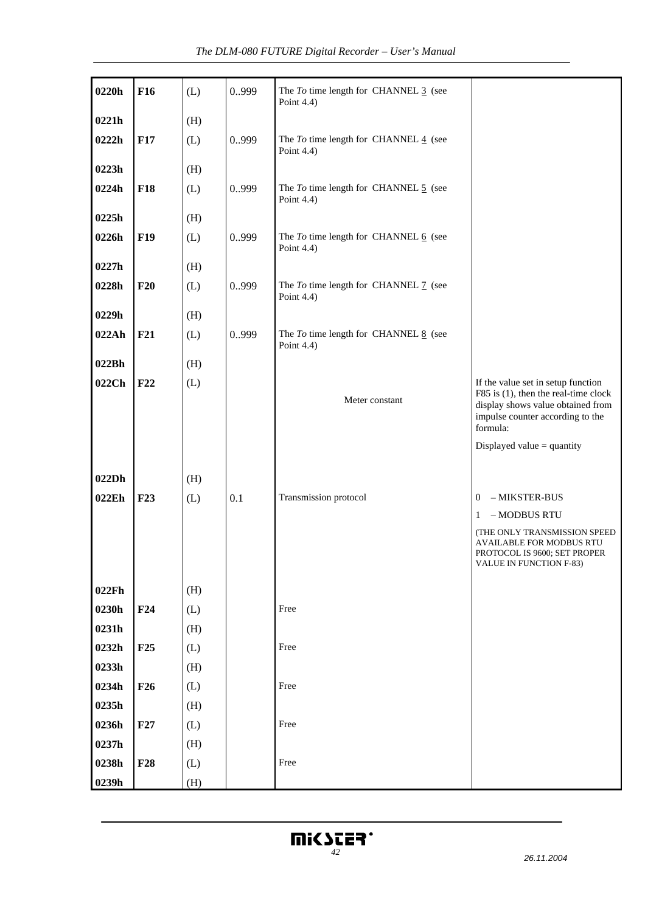| 0220h | F16             | (L) | 0.999 | The $To$ time length for CHANNEL $\frac{3}{5}$ (see<br>Point 4.4)    |                                                                                                                                                                 |
|-------|-----------------|-----|-------|----------------------------------------------------------------------|-----------------------------------------------------------------------------------------------------------------------------------------------------------------|
| 0221h |                 | (H) |       |                                                                      |                                                                                                                                                                 |
| 0222h | F17             | (L) | 0.999 | The $To$ time length for CHANNEL $\frac{4}{5}$ (see<br>Point $4.4$ ) |                                                                                                                                                                 |
| 0223h |                 | (H) |       |                                                                      |                                                                                                                                                                 |
| 0224h | <b>F18</b>      | (L) | 0.999 | The To time length for CHANNEL 5 (see<br>Point 4.4)                  |                                                                                                                                                                 |
| 0225h |                 | (H) |       |                                                                      |                                                                                                                                                                 |
| 0226h | <b>F19</b>      | (L) | 0.999 | The $To$ time length for CHANNEL $6$ (see<br>Point 4.4)              |                                                                                                                                                                 |
| 0227h |                 | (H) |       |                                                                      |                                                                                                                                                                 |
| 0228h | F20             | (L) | 0.999 | The To time length for CHANNEL 7 (see<br>Point 4.4)                  |                                                                                                                                                                 |
| 0229h |                 | (H) |       |                                                                      |                                                                                                                                                                 |
| 022Ah | F21             | (L) | 0.999 | The $To$ time length for CHANNEL $8$ (see<br>Point 4.4)              |                                                                                                                                                                 |
| 022Bh |                 | (H) |       |                                                                      |                                                                                                                                                                 |
| 022Ch | F22             | (L) |       | Meter constant                                                       | If the value set in setup function<br>F85 is (1), then the real-time clock<br>display shows value obtained from<br>impulse counter according to the<br>formula: |
|       |                 |     |       |                                                                      | Displayed value = quantity                                                                                                                                      |
|       |                 |     |       |                                                                      |                                                                                                                                                                 |
| 022Dh |                 | (H) |       |                                                                      |                                                                                                                                                                 |
| 022Eh | F23             | (L) | 0.1   | Transmission protocol                                                | - MIKSTER-BUS<br>$\boldsymbol{0}$                                                                                                                               |
|       |                 |     |       |                                                                      | $-$ MODBUS RTU $\,$<br>1                                                                                                                                        |
|       |                 |     |       |                                                                      | (THE ONLY TRANSMISSION SPEED<br>AVAILABLE FOR MODBUS RTU<br>PROTOCOL IS 9600; SET PROPER<br>VALUE IN FUNCTION F-83)                                             |
| 022Fh |                 | (H) |       |                                                                      |                                                                                                                                                                 |
| 0230h | F24             | (L) |       | Free                                                                 |                                                                                                                                                                 |
| 0231h |                 | (H) |       |                                                                      |                                                                                                                                                                 |
| 0232h | F25             | (L) |       | Free                                                                 |                                                                                                                                                                 |
| 0233h |                 | (H) |       |                                                                      |                                                                                                                                                                 |
| 0234h | F <sub>26</sub> | (L) |       | Free                                                                 |                                                                                                                                                                 |
| 0235h |                 | (H) |       |                                                                      |                                                                                                                                                                 |
| 0236h | F27             | (L) |       | Free                                                                 |                                                                                                                                                                 |
| 0237h |                 | (H) |       |                                                                      |                                                                                                                                                                 |
| 0238h | <b>F28</b>      | (L) |       | Free                                                                 |                                                                                                                                                                 |
| 0239h |                 | (H) |       |                                                                      |                                                                                                                                                                 |

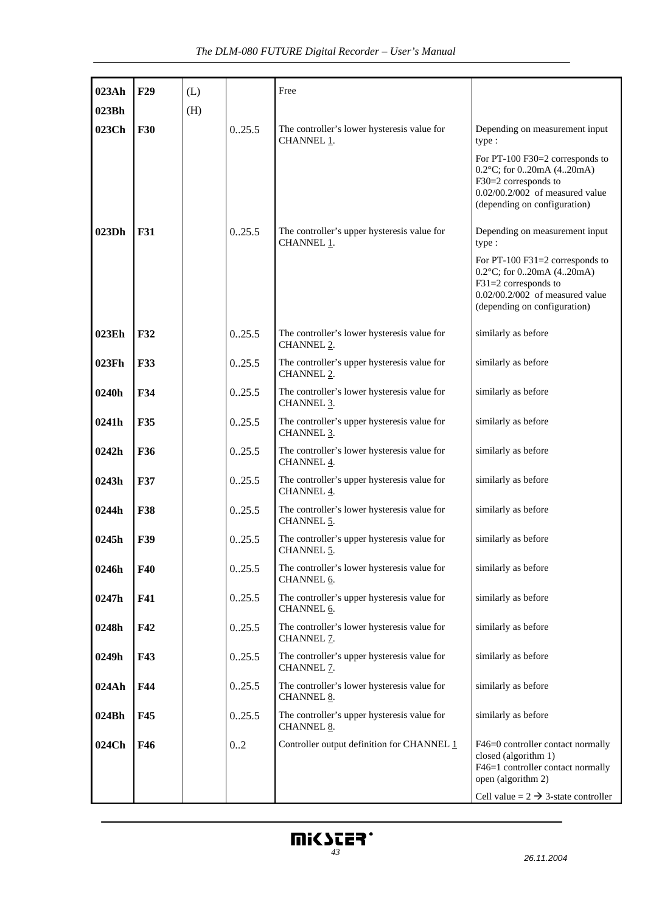| 023Ah | F29        | (L) |        | Free                                                                  |                                                                                                                                                                   |
|-------|------------|-----|--------|-----------------------------------------------------------------------|-------------------------------------------------------------------------------------------------------------------------------------------------------------------|
| 023Bh |            | (H) |        |                                                                       |                                                                                                                                                                   |
| 023Ch | <b>F30</b> |     | 0.25.5 | The controller's lower hysteresis value for<br>CHANNEL <sub>1</sub> . | Depending on measurement input<br>type:                                                                                                                           |
|       |            |     |        |                                                                       | For PT-100 F30=2 corresponds to<br>$0.2$ °C; for $0.20$ mA $(4.20$ mA)<br>F30=2 corresponds to<br>0.02/00.2/002 of measured value<br>(depending on configuration) |
| 023Dh | <b>F31</b> |     | 0.25.5 | The controller's upper hysteresis value for<br>CHANNEL 1.             | Depending on measurement input<br>type:                                                                                                                           |
|       |            |     |        |                                                                       | For PT-100 F31=2 corresponds to<br>$0.2$ °C; for $020$ mA $(420$ mA)<br>$F31=2$ corresponds to<br>0.02/00.2/002 of measured value<br>(depending on configuration) |
| 023Eh | <b>F32</b> |     | 0.25.5 | The controller's lower hysteresis value for<br>CHANNEL <sub>2</sub> . | similarly as before                                                                                                                                               |
| 023Fh | <b>F33</b> |     | 0.25.5 | The controller's upper hysteresis value for<br>CHANNEL <sub>2</sub> . | similarly as before                                                                                                                                               |
| 0240h | <b>F34</b> |     | 0.25.5 | The controller's lower hysteresis value for<br>CHANNEL 3.             | similarly as before                                                                                                                                               |
| 0241h | F35        |     | 0.25.5 | The controller's upper hysteresis value for<br>CHANNEL 3.             | similarly as before                                                                                                                                               |
| 0242h | F36        |     | 0.25.5 | The controller's lower hysteresis value for<br>CHANNEL 4.             | similarly as before                                                                                                                                               |
| 0243h | <b>F37</b> |     | 0.25.5 | The controller's upper hysteresis value for<br>CHANNEL 4.             | similarly as before                                                                                                                                               |
| 0244h | <b>F38</b> |     | 0.25.5 | The controller's lower hysteresis value for<br>CHANNEL 5.             | similarly as before                                                                                                                                               |
| 0245h | <b>F39</b> |     | 0.25.5 | The controller's upper hysteresis value for<br>CHANNEL 5.             | similarly as before                                                                                                                                               |
| 0246h | F40        |     | 0.25.5 | The controller's lower hysteresis value for<br>CHANNEL 6.             | similarly as before                                                                                                                                               |
| 0247h | <b>F41</b> |     | 0.25.5 | The controller's upper hysteresis value for<br>CHANNEL 6.             | similarly as before                                                                                                                                               |
| 0248h | F42        |     | 0.25.5 | The controller's lower hysteresis value for<br>CHANNEL 7.             | similarly as before                                                                                                                                               |
| 0249h | F43        |     | 0.25.5 | The controller's upper hysteresis value for<br>CHANNEL 7.             | similarly as before                                                                                                                                               |
| 024Ah | F44        |     | 0.25.5 | The controller's lower hysteresis value for<br>CHANNEL 8.             | similarly as before                                                                                                                                               |
| 024Bh | F45        |     | 0.25.5 | The controller's upper hysteresis value for<br>CHANNEL 8.             | similarly as before                                                                                                                                               |
| 024Ch | F46        |     | 0.2    | Controller output definition for CHANNEL 1                            | F46=0 controller contact normally<br>closed (algorithm 1)<br>F46=1 controller contact normally<br>open (algorithm 2)                                              |
|       |            |     |        |                                                                       | Cell value = $2 \rightarrow 3$ -state controller                                                                                                                  |

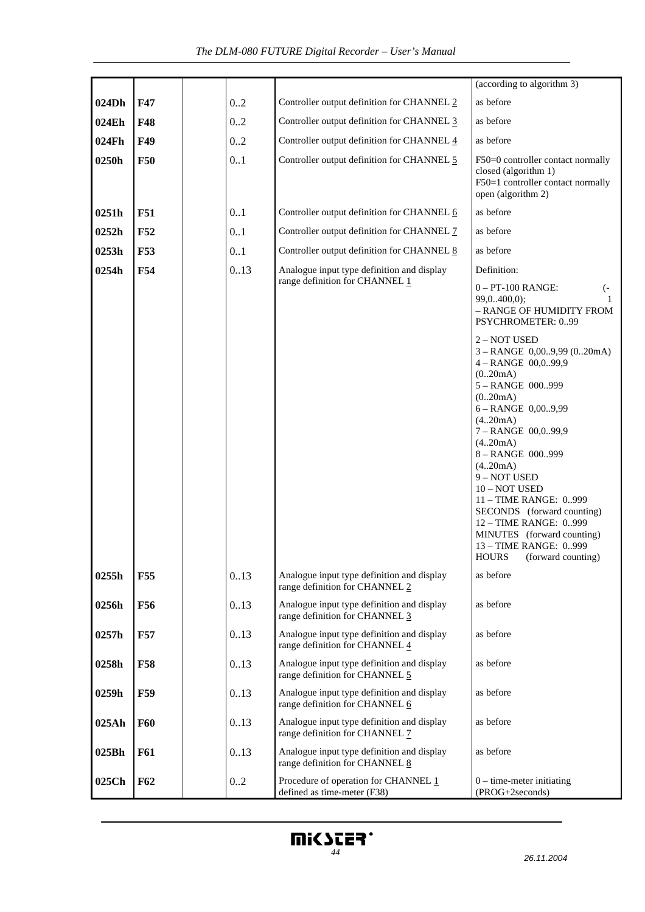|       |            |      |                                                                              | $(\text{according to algorithm 3})$                                                                                                                                                                                                                                                                                                                                                                                 |
|-------|------------|------|------------------------------------------------------------------------------|---------------------------------------------------------------------------------------------------------------------------------------------------------------------------------------------------------------------------------------------------------------------------------------------------------------------------------------------------------------------------------------------------------------------|
| 024Dh | F47        | 0.2  | Controller output definition for CHANNEL 2                                   | as before                                                                                                                                                                                                                                                                                                                                                                                                           |
| 024Eh | <b>F48</b> | 0.2  | Controller output definition for CHANNEL 3                                   | as before                                                                                                                                                                                                                                                                                                                                                                                                           |
| 024Fh | F49        | 0.2  | Controller output definition for CHANNEL 4                                   | as before                                                                                                                                                                                                                                                                                                                                                                                                           |
| 0250h | <b>F50</b> | 0.1  | Controller output definition for CHANNEL 5                                   | F50=0 controller contact normally<br>closed (algorithm 1)<br>F50=1 controller contact normally<br>open (algorithm 2)                                                                                                                                                                                                                                                                                                |
| 0251h | <b>F51</b> | 0.1  | Controller output definition for CHANNEL 6                                   | as before                                                                                                                                                                                                                                                                                                                                                                                                           |
| 0252h | F52        | 0.1  | Controller output definition for CHANNEL 7                                   | as before                                                                                                                                                                                                                                                                                                                                                                                                           |
| 0253h | <b>F53</b> | 0.1  | Controller output definition for CHANNEL 8                                   | as before                                                                                                                                                                                                                                                                                                                                                                                                           |
| 0254h | F54        | 0.13 | Analogue input type definition and display                                   | Definition:                                                                                                                                                                                                                                                                                                                                                                                                         |
|       |            |      | range definition for CHANNEL 1                                               | $0 - PT-100$ RANGE:<br>$(-$<br>99,0400,0);<br>- RANGE OF HUMIDITY FROM<br>PSYCHROMETER: 099                                                                                                                                                                                                                                                                                                                         |
|       |            |      |                                                                              | 2 - NOT USED<br>$3 - RANGE$ 0,009,99 (020mA)<br>$4 - RANGE$ 00,099,9<br>(020mA)<br>5-RANGE 000999<br>(0.20mA)<br>$6 - RANGE$ 0,009,99<br>(4.20mA)<br>7-RANGE 00,099,9<br>(4.20mA)<br>8-RANGE 000999<br>(4.20mA)<br>9 - NOT USED<br>10 - NOT USED<br>11 - TIME RANGE: 0999<br>SECONDS (forward counting)<br>12 - TIME RANGE: 0999<br>MINUTES (forward counting)<br>13 - TIME RANGE: 0999<br>HOURS (forward counting) |
| 0255h | <b>F55</b> | 0.13 | Analogue input type definition and display<br>range definition for CHANNEL 2 | as before                                                                                                                                                                                                                                                                                                                                                                                                           |
| 0256h | F56        | 0.13 | Analogue input type definition and display<br>range definition for CHANNEL 3 | as before                                                                                                                                                                                                                                                                                                                                                                                                           |
| 0257h | <b>F57</b> | 0.13 | Analogue input type definition and display<br>range definition for CHANNEL 4 | as before                                                                                                                                                                                                                                                                                                                                                                                                           |
| 0258h | <b>F58</b> | 0.13 | Analogue input type definition and display<br>range definition for CHANNEL 5 | as before                                                                                                                                                                                                                                                                                                                                                                                                           |
| 0259h | <b>F59</b> | 0.13 | Analogue input type definition and display<br>range definition for CHANNEL 6 | as before                                                                                                                                                                                                                                                                                                                                                                                                           |
| 025Ah | <b>F60</b> | 0.13 | Analogue input type definition and display<br>range definition for CHANNEL 7 | as before                                                                                                                                                                                                                                                                                                                                                                                                           |
| 025Bh | <b>F61</b> | 0.13 | Analogue input type definition and display<br>range definition for CHANNEL 8 | as before                                                                                                                                                                                                                                                                                                                                                                                                           |
| 025Ch | <b>F62</b> | 0.2  | Procedure of operation for CHANNEL 1<br>defined as time-meter (F38)          | $0$ – time-meter initiating<br>(PROG+2seconds)                                                                                                                                                                                                                                                                                                                                                                      |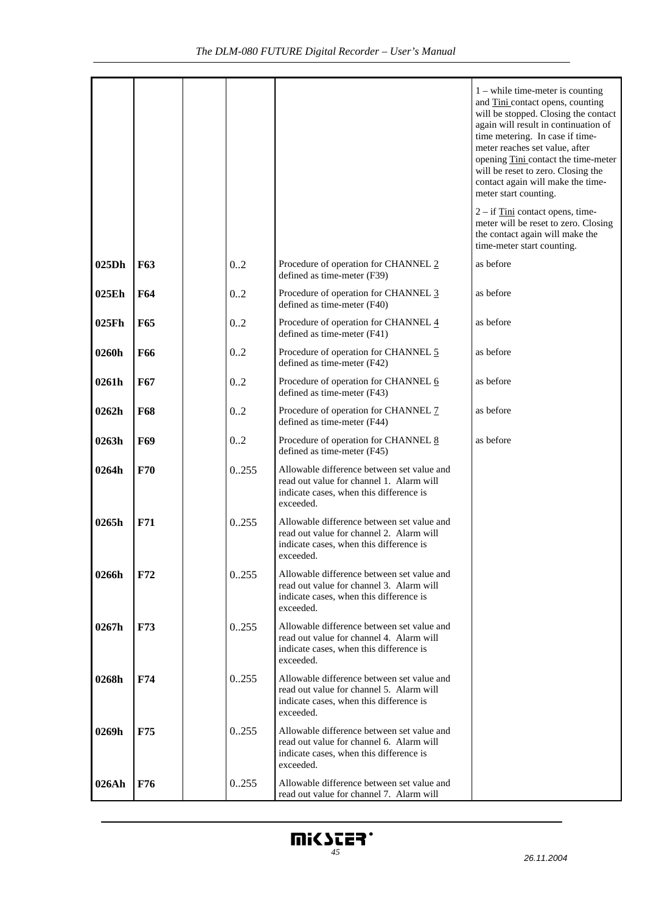|       |            |      |                                                                                                                                                | $1$ – while time-meter is counting<br>and Tini contact opens, counting<br>will be stopped. Closing the contact<br>again will result in continuation of<br>time metering. In case if time-<br>meter reaches set value, after<br>opening Tini contact the time-meter<br>will be reset to zero. Closing the<br>contact again will make the time-<br>meter start counting. |
|-------|------------|------|------------------------------------------------------------------------------------------------------------------------------------------------|------------------------------------------------------------------------------------------------------------------------------------------------------------------------------------------------------------------------------------------------------------------------------------------------------------------------------------------------------------------------|
|       |            |      |                                                                                                                                                | $2 - if$ Tini contact opens, time-<br>meter will be reset to zero. Closing<br>the contact again will make the<br>time-meter start counting.                                                                                                                                                                                                                            |
| 025Dh | <b>F63</b> | 0.2  | Procedure of operation for CHANNEL 2<br>defined as time-meter (F39)                                                                            | as before                                                                                                                                                                                                                                                                                                                                                              |
| 025Eh | <b>F64</b> | 0.2  | Procedure of operation for CHANNEL 3<br>defined as time-meter (F40)                                                                            | as before                                                                                                                                                                                                                                                                                                                                                              |
| 025Fh | <b>F65</b> | 0.2  | Procedure of operation for CHANNEL 4<br>defined as time-meter (F41)                                                                            | as before                                                                                                                                                                                                                                                                                                                                                              |
| 0260h | <b>F66</b> | 0.2  | Procedure of operation for CHANNEL 5<br>defined as time-meter (F42)                                                                            | as before                                                                                                                                                                                                                                                                                                                                                              |
| 0261h | F67        | 0.2  | Procedure of operation for CHANNEL 6<br>defined as time-meter (F43)                                                                            | as before                                                                                                                                                                                                                                                                                                                                                              |
| 0262h | F68        | 0.2  | Procedure of operation for CHANNEL 7<br>defined as time-meter (F44)                                                                            | as before                                                                                                                                                                                                                                                                                                                                                              |
| 0263h | F69        | 0.2  | Procedure of operation for CHANNEL 8<br>defined as time-meter (F45)                                                                            | as before                                                                                                                                                                                                                                                                                                                                                              |
| 0264h | F70        | 0255 | Allowable difference between set value and<br>read out value for channel 1. Alarm will<br>indicate cases, when this difference is<br>exceeded. |                                                                                                                                                                                                                                                                                                                                                                        |
| 0265h | F71        | 0255 | Allowable difference between set value and<br>read out value for channel 2. Alarm will<br>indicate cases, when this difference is<br>exceeded. |                                                                                                                                                                                                                                                                                                                                                                        |
| 0266h | F72        | 0255 | Allowable difference between set value and<br>read out value for channel 3. Alarm will<br>indicate cases, when this difference is<br>exceeded. |                                                                                                                                                                                                                                                                                                                                                                        |
| 0267h | <b>F73</b> | 0255 | Allowable difference between set value and<br>read out value for channel 4. Alarm will<br>indicate cases, when this difference is<br>exceeded. |                                                                                                                                                                                                                                                                                                                                                                        |
| 0268h | <b>F74</b> | 0255 | Allowable difference between set value and<br>read out value for channel 5. Alarm will<br>indicate cases, when this difference is<br>exceeded. |                                                                                                                                                                                                                                                                                                                                                                        |
| 0269h | <b>F75</b> | 0255 | Allowable difference between set value and<br>read out value for channel 6. Alarm will<br>indicate cases, when this difference is<br>exceeded. |                                                                                                                                                                                                                                                                                                                                                                        |
| 026Ah | <b>F76</b> | 0255 | Allowable difference between set value and<br>read out value for channel 7. Alarm will                                                         |                                                                                                                                                                                                                                                                                                                                                                        |

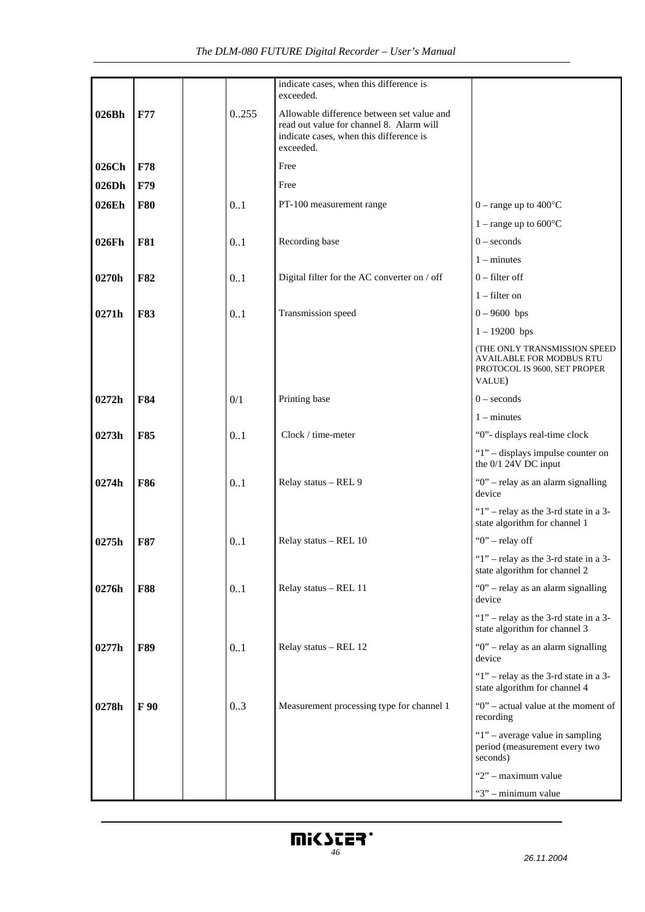|       |            |      | indicate cases, when this difference is<br>exceeded.                                                                                           |                                                                                                           |
|-------|------------|------|------------------------------------------------------------------------------------------------------------------------------------------------|-----------------------------------------------------------------------------------------------------------|
| 026Bh | F77        | 0255 | Allowable difference between set value and<br>read out value for channel 8. Alarm will<br>indicate cases, when this difference is<br>exceeded. |                                                                                                           |
| 026Ch | F78        |      | Free                                                                                                                                           |                                                                                                           |
| 026Dh | F79        |      | Free                                                                                                                                           |                                                                                                           |
| 026Eh | <b>F80</b> | 0.1  | PT-100 measurement range                                                                                                                       | $0$ – range up to 400 $\degree$ C                                                                         |
|       |            |      |                                                                                                                                                | $1 - \text{range up to } 600^{\circ}C$                                                                    |
| 026Fh | <b>F81</b> | 0.1  | Recording base                                                                                                                                 | $0$ – seconds                                                                                             |
|       |            |      |                                                                                                                                                | $1 -$ minutes                                                                                             |
| 0270h | <b>F82</b> | 0.1  | Digital filter for the AC converter on / off                                                                                                   | $0$ – filter off                                                                                          |
|       |            |      |                                                                                                                                                | $1$ – filter on                                                                                           |
| 0271h | <b>F83</b> | 0.1  | Transmission speed                                                                                                                             | $0 - 9600$ bps                                                                                            |
|       |            |      |                                                                                                                                                | $1 - 19200$ bps                                                                                           |
|       |            |      |                                                                                                                                                | (THE ONLY TRANSMISSION SPEED<br><b>AVAILABLE FOR MODBUS RTU</b><br>PROTOCOL IS 9600, SET PROPER<br>VALUE) |
| 0272h | F84        | 0/1  | Printing base                                                                                                                                  | $0$ – seconds                                                                                             |
|       |            |      |                                                                                                                                                | $1 -$ minutes                                                                                             |
| 0273h | <b>F85</b> | 0.1  | Clock / time-meter                                                                                                                             | "0"- displays real-time clock                                                                             |
|       |            |      |                                                                                                                                                | "1" - displays impulse counter on<br>the 0/1 24V DC input                                                 |
| 0274h | <b>F86</b> | 0.1  | Relay status - REL 9                                                                                                                           | "0" - relay as an alarm signalling<br>device                                                              |
|       |            |      |                                                                                                                                                | " $1$ " – relay as the 3-rd state in a 3-<br>state algorithm for channel 1                                |
| 0275h | <b>F87</b> | 0.1  | Relay status - REL 10                                                                                                                          | " $0$ " – relay off                                                                                       |
|       |            |      |                                                                                                                                                | " $1$ " – relay as the 3-rd state in a 3-<br>state algorithm for channel 2                                |
| 0276h | <b>F88</b> | 0.1  | Relay status - REL 11                                                                                                                          | " $0$ " – relay as an alarm signalling<br>device                                                          |
|       |            |      |                                                                                                                                                | " $1$ " – relay as the 3-rd state in a 3-<br>state algorithm for channel 3                                |
| 0277h | <b>F89</b> | 0.1  | Relay status - REL 12                                                                                                                          | "0" - relay as an alarm signalling<br>device                                                              |
|       |            |      |                                                                                                                                                | "1" - relay as the 3-rd state in a 3-<br>state algorithm for channel 4                                    |
| 0278h | F 90       | 0.3  | Measurement processing type for channel 1                                                                                                      | "0" - actual value at the moment of<br>recording                                                          |
|       |            |      |                                                                                                                                                | " $1$ " – average value in sampling<br>period (measurement every two<br>seconds)                          |
|       |            |      |                                                                                                                                                | "2" - maximum value                                                                                       |
|       |            |      |                                                                                                                                                | "3" - minimum value                                                                                       |

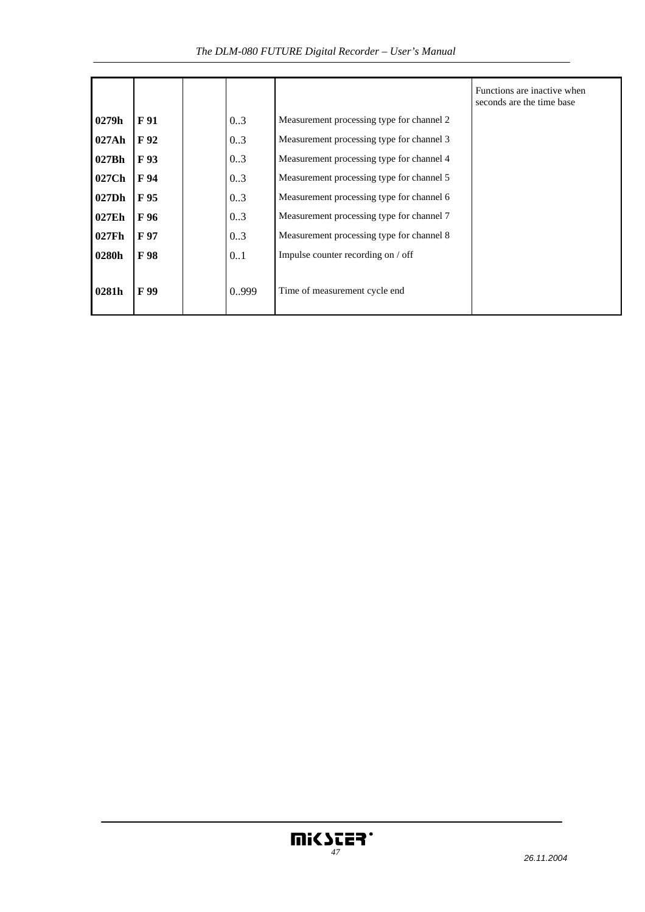*The DLM-080 FUTURE Digital Recorder – User's Manual* 

|       |      |      |                                           | Functions are inactive when<br>seconds are the time base |
|-------|------|------|-------------------------------------------|----------------------------------------------------------|
| 0279h | F 91 | 03   | Measurement processing type for channel 2 |                                                          |
| 027Ah | F 92 | 03   | Measurement processing type for channel 3 |                                                          |
| 027Bh | F 93 | 0.3  | Measurement processing type for channel 4 |                                                          |
| 027Ch | F 94 | 0.3  | Measurement processing type for channel 5 |                                                          |
| 027Dh | F 95 | 0.3  | Measurement processing type for channel 6 |                                                          |
| 027Eh | F 96 | 0.3  | Measurement processing type for channel 7 |                                                          |
| 027Fh | F 97 | 0.3  | Measurement processing type for channel 8 |                                                          |
| 0280h | F 98 | 0.1  | Impulse counter recording on / off        |                                                          |
| 0281h | F 99 | 0999 | Time of measurement cycle end             |                                                          |